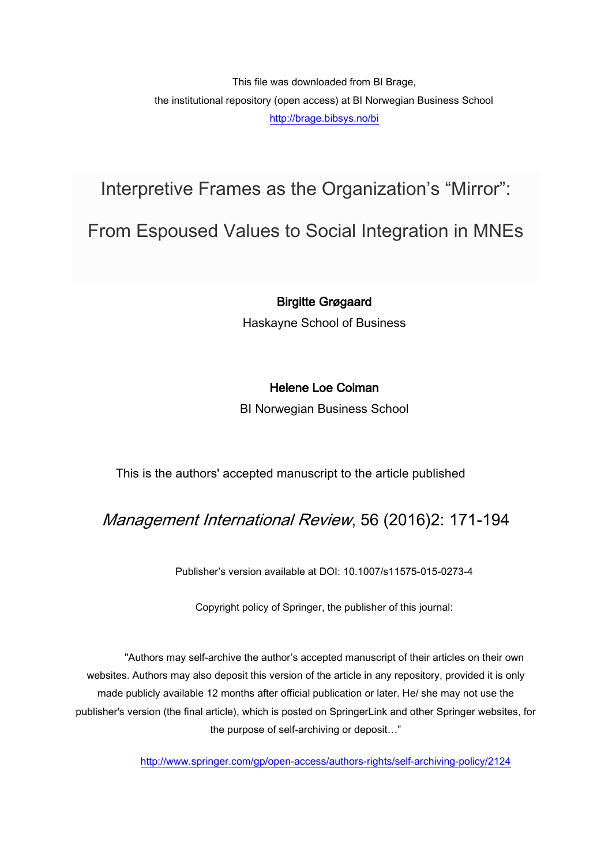This file was downloaded from BI Brage, the institutional repository (open access) at BI Norwegian Business School <http://brage.bibsys.no/bi>

Interpretive Frames as the Organization's "Mirror":

From Espoused Values to Social Integration in MNEs

## Birgitte Grøgaard

Haskayne School of Business

## Helene Loe Colman

BI Norwegian Business School

This is the authors' accepted manuscript to the article published

## Management International Review, 56 (2016)2: 171-194

Publisher's version available at DOI: 10.1007/s11575-015-0273-4

Copyright policy of Springer, the publisher of this journal:

"Authors may self-archive the author's accepted manuscript of their articles on their own websites. Authors may also deposit this version of the article in any repository, provided it is only made publicly available 12 months after official publication or later. He/ she may not use the publisher's version (the final article), which is posted on SpringerLink and other Springer websites, for the purpose of self-archiving or deposit…"

<http://www.springer.com/gp/open-access/authors-rights/self-archiving-policy/2124>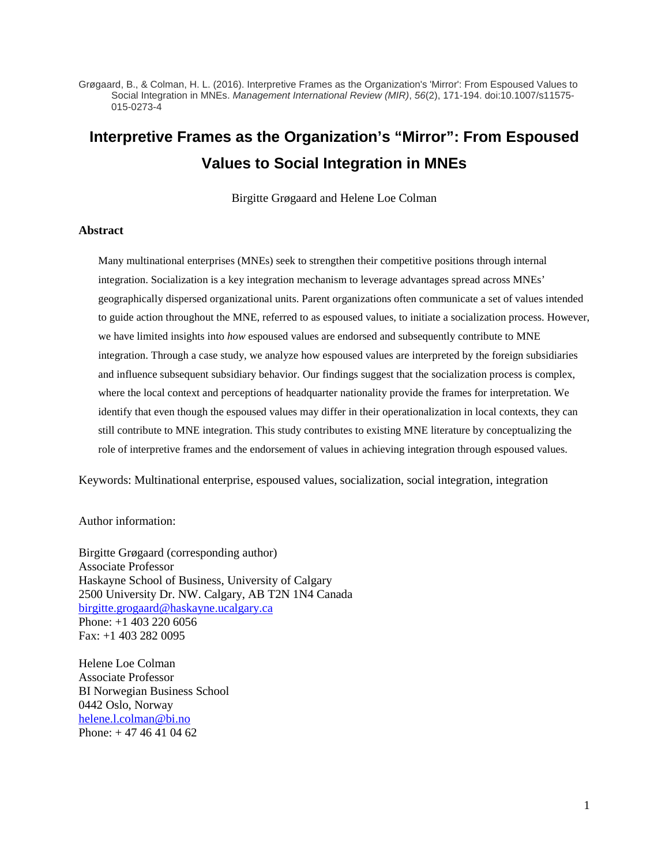Grøgaard, B., & Colman, H. L. (2016). Interpretive Frames as the Organization's 'Mirror': From Espoused Values to Social Integration in MNEs. *Management International Review (MIR)*, *56*(2), 171-194. doi:10.1007/s11575- 015-0273-4

# **Interpretive Frames as the Organization's "Mirror": From Espoused Values to Social Integration in MNEs**

Birgitte Grøgaard and Helene Loe Colman

#### **Abstract**

Many multinational enterprises (MNEs) seek to strengthen their competitive positions through internal integration. Socialization is a key integration mechanism to leverage advantages spread across MNEs' geographically dispersed organizational units. Parent organizations often communicate a set of values intended to guide action throughout the MNE, referred to as espoused values, to initiate a socialization process. However, we have limited insights into *how* espoused values are endorsed and subsequently contribute to MNE integration. Through a case study, we analyze how espoused values are interpreted by the foreign subsidiaries and influence subsequent subsidiary behavior. Our findings suggest that the socialization process is complex, where the local context and perceptions of headquarter nationality provide the frames for interpretation. We identify that even though the espoused values may differ in their operationalization in local contexts, they can still contribute to MNE integration. This study contributes to existing MNE literature by conceptualizing the role of interpretive frames and the endorsement of values in achieving integration through espoused values.

Keywords: Multinational enterprise, espoused values, socialization, social integration, integration

Author information:

Birgitte Grøgaard (corresponding author) Associate Professor Haskayne School of Business, University of Calgary 2500 University Dr. NW. Calgary, AB T2N 1N4 Canada [birgitte.grogaard@haskayne.ucalgary.ca](mailto:birgitte.grogaard@haskayne.ucalgary.ca) Phone: +1 403 220 6056 Fax: +1 403 282 0095

Helene Loe Colman Associate Professor BI Norwegian Business School 0442 Oslo, Norway [helene.l.colman@bi.no](mailto:helene.l.colman@bi.no) Phone: + 47 46 41 04 62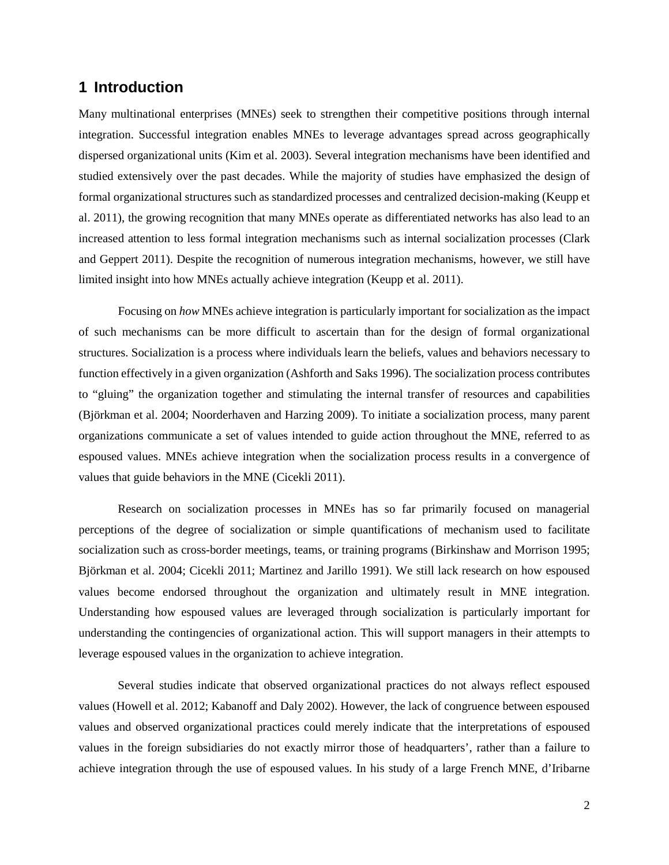## **1 Introduction**

Many multinational enterprises (MNEs) seek to strengthen their competitive positions through internal integration. Successful integration enables MNEs to leverage advantages spread across geographically dispersed organizational units (Kim et al. 2003). Several integration mechanisms have been identified and studied extensively over the past decades. While the majority of studies have emphasized the design of formal organizational structures such as standardized processes and centralized decision-making (Keupp et al. 2011), the growing recognition that many MNEs operate as differentiated networks has also lead to an increased attention to less formal integration mechanisms such as internal socialization processes (Clark and Geppert 2011). Despite the recognition of numerous integration mechanisms, however, we still have limited insight into how MNEs actually achieve integration (Keupp et al. 2011).

Focusing on *how* MNEs achieve integration is particularly important for socialization as the impact of such mechanisms can be more difficult to ascertain than for the design of formal organizational structures. Socialization is a process where individuals learn the beliefs, values and behaviors necessary to function effectively in a given organization (Ashforth and Saks 1996). The socialization process contributes to "gluing" the organization together and stimulating the internal transfer of resources and capabilities (Björkman et al. 2004; Noorderhaven and Harzing 2009). To initiate a socialization process, many parent organizations communicate a set of values intended to guide action throughout the MNE, referred to as espoused values. MNEs achieve integration when the socialization process results in a convergence of values that guide behaviors in the MNE (Cicekli 2011).

Research on socialization processes in MNEs has so far primarily focused on managerial perceptions of the degree of socialization or simple quantifications of mechanism used to facilitate socialization such as cross-border meetings, teams, or training programs (Birkinshaw and Morrison 1995; Björkman et al. 2004; Cicekli 2011; Martinez and Jarillo 1991). We still lack research on how espoused values become endorsed throughout the organization and ultimately result in MNE integration. Understanding how espoused values are leveraged through socialization is particularly important for understanding the contingencies of organizational action. This will support managers in their attempts to leverage espoused values in the organization to achieve integration.

Several studies indicate that observed organizational practices do not always reflect espoused values (Howell et al. 2012; Kabanoff and Daly 2002). However, the lack of congruence between espoused values and observed organizational practices could merely indicate that the interpretations of espoused values in the foreign subsidiaries do not exactly mirror those of headquarters', rather than a failure to achieve integration through the use of espoused values. In his study of a large French MNE, d'Iribarne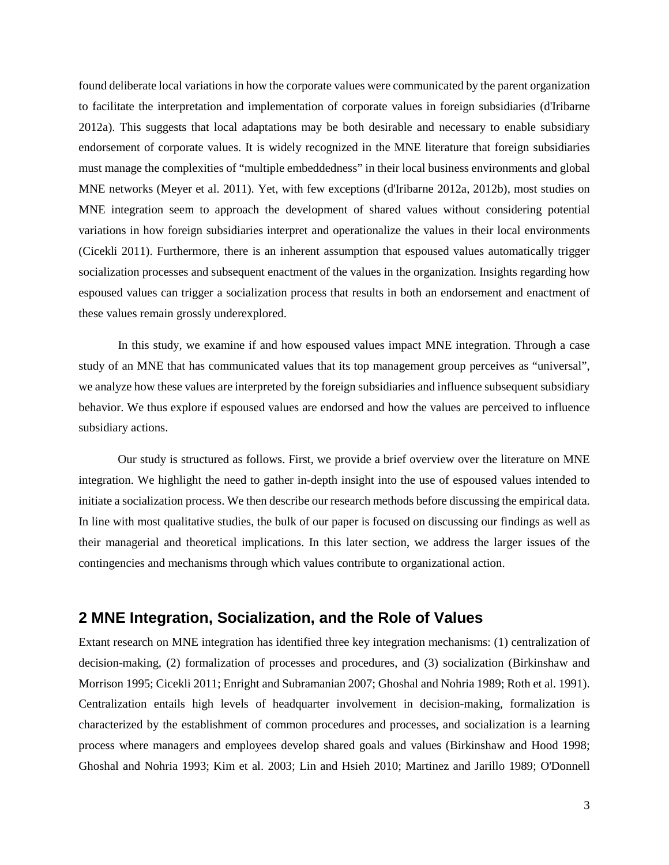found deliberate local variations in how the corporate values were communicated by the parent organization to facilitate the interpretation and implementation of corporate values in foreign subsidiaries (d'Iribarne 2012a). This suggests that local adaptations may be both desirable and necessary to enable subsidiary endorsement of corporate values. It is widely recognized in the MNE literature that foreign subsidiaries must manage the complexities of "multiple embeddedness" in their local business environments and global MNE networks (Meyer et al. 2011). Yet, with few exceptions (d'Iribarne 2012a, 2012b), most studies on MNE integration seem to approach the development of shared values without considering potential variations in how foreign subsidiaries interpret and operationalize the values in their local environments (Cicekli 2011). Furthermore, there is an inherent assumption that espoused values automatically trigger socialization processes and subsequent enactment of the values in the organization. Insights regarding how espoused values can trigger a socialization process that results in both an endorsement and enactment of these values remain grossly underexplored.

In this study, we examine if and how espoused values impact MNE integration. Through a case study of an MNE that has communicated values that its top management group perceives as "universal", we analyze how these values are interpreted by the foreign subsidiaries and influence subsequent subsidiary behavior. We thus explore if espoused values are endorsed and how the values are perceived to influence subsidiary actions.

Our study is structured as follows. First, we provide a brief overview over the literature on MNE integration. We highlight the need to gather in-depth insight into the use of espoused values intended to initiate a socialization process. We then describe our research methods before discussing the empirical data. In line with most qualitative studies, the bulk of our paper is focused on discussing our findings as well as their managerial and theoretical implications. In this later section, we address the larger issues of the contingencies and mechanisms through which values contribute to organizational action.

### **2 MNE Integration, Socialization, and the Role of Values**

Extant research on MNE integration has identified three key integration mechanisms: (1) centralization of decision-making, (2) formalization of processes and procedures, and (3) socialization (Birkinshaw and Morrison 1995; Cicekli 2011; Enright and Subramanian 2007; Ghoshal and Nohria 1989; Roth et al. 1991). Centralization entails high levels of headquarter involvement in decision-making, formalization is characterized by the establishment of common procedures and processes, and socialization is a learning process where managers and employees develop shared goals and values (Birkinshaw and Hood 1998; Ghoshal and Nohria 1993; Kim et al. 2003; Lin and Hsieh 2010; Martinez and Jarillo 1989; O'Donnell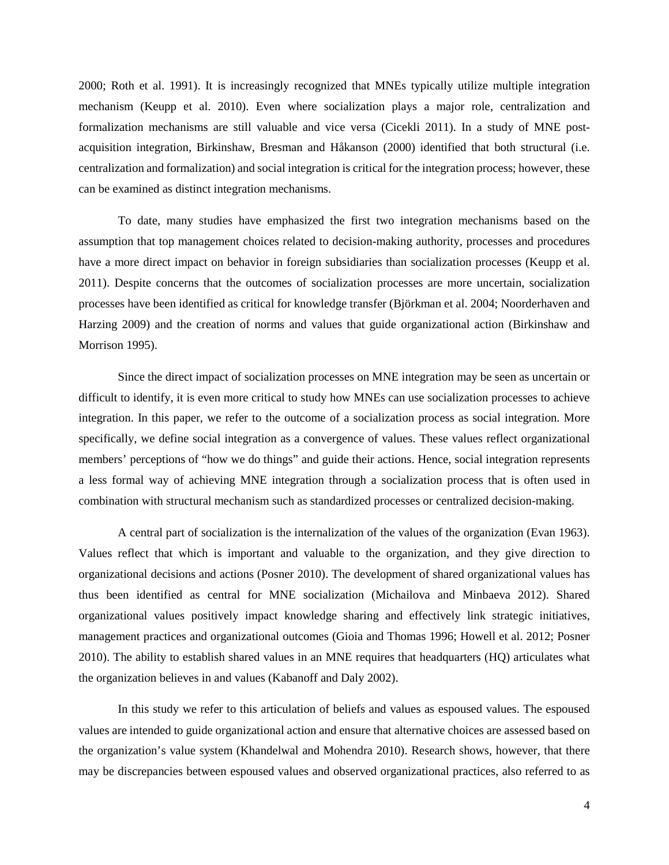2000; Roth et al. 1991). It is increasingly recognized that MNEs typically utilize multiple integration mechanism (Keupp et al. 2010). Even where socialization plays a major role, centralization and formalization mechanisms are still valuable and vice versa (Cicekli 2011). In a study of MNE postacquisition integration, Birkinshaw, Bresman and Håkanson (2000) identified that both structural (i.e. centralization and formalization) and social integration is critical for the integration process; however, these can be examined as distinct integration mechanisms.

To date, many studies have emphasized the first two integration mechanisms based on the assumption that top management choices related to decision-making authority, processes and procedures have a more direct impact on behavior in foreign subsidiaries than socialization processes (Keupp et al. 2011). Despite concerns that the outcomes of socialization processes are more uncertain, socialization processes have been identified as critical for knowledge transfer (Björkman et al. 2004; Noorderhaven and Harzing 2009) and the creation of norms and values that guide organizational action (Birkinshaw and Morrison 1995).

Since the direct impact of socialization processes on MNE integration may be seen as uncertain or difficult to identify, it is even more critical to study how MNEs can use socialization processes to achieve integration. In this paper, we refer to the outcome of a socialization process as social integration. More specifically, we define social integration as a convergence of values. These values reflect organizational members' perceptions of "how we do things" and guide their actions. Hence, social integration represents a less formal way of achieving MNE integration through a socialization process that is often used in combination with structural mechanism such as standardized processes or centralized decision-making.

A central part of socialization is the internalization of the values of the organization (Evan 1963). Values reflect that which is important and valuable to the organization, and they give direction to organizational decisions and actions (Posner 2010). The development of shared organizational values has thus been identified as central for MNE socialization (Michailova and Minbaeva 2012). Shared organizational values positively impact knowledge sharing and effectively link strategic initiatives, management practices and organizational outcomes (Gioia and Thomas 1996; Howell et al. 2012; Posner 2010). The ability to establish shared values in an MNE requires that headquarters (HQ) articulates what the organization believes in and values (Kabanoff and Daly 2002).

In this study we refer to this articulation of beliefs and values as espoused values. The espoused values are intended to guide organizational action and ensure that alternative choices are assessed based on the organization's value system (Khandelwal and Mohendra 2010). Research shows, however, that there may be discrepancies between espoused values and observed organizational practices, also referred to as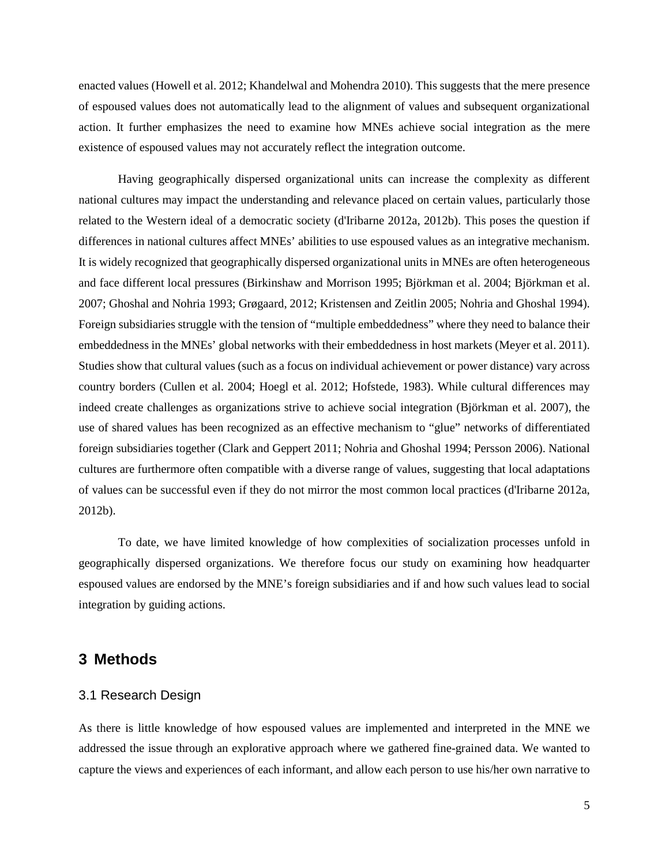enacted values (Howell et al. 2012; Khandelwal and Mohendra 2010). This suggests that the mere presence of espoused values does not automatically lead to the alignment of values and subsequent organizational action. It further emphasizes the need to examine how MNEs achieve social integration as the mere existence of espoused values may not accurately reflect the integration outcome.

Having geographically dispersed organizational units can increase the complexity as different national cultures may impact the understanding and relevance placed on certain values, particularly those related to the Western ideal of a democratic society (d'Iribarne 2012a, 2012b). This poses the question if differences in national cultures affect MNEs' abilities to use espoused values as an integrative mechanism. It is widely recognized that geographically dispersed organizational units in MNEs are often heterogeneous and face different local pressures (Birkinshaw and Morrison 1995; Björkman et al. 2004; Björkman et al. 2007; Ghoshal and Nohria 1993; Grøgaard, 2012; Kristensen and Zeitlin 2005; Nohria and Ghoshal 1994). Foreign subsidiaries struggle with the tension of "multiple embeddedness" where they need to balance their embeddedness in the MNEs' global networks with their embeddedness in host markets (Meyer et al. 2011). Studies show that cultural values (such as a focus on individual achievement or power distance) vary across country borders (Cullen et al. 2004; Hoegl et al. 2012; Hofstede, 1983). While cultural differences may indeed create challenges as organizations strive to achieve social integration (Björkman et al. 2007), the use of shared values has been recognized as an effective mechanism to "glue" networks of differentiated foreign subsidiaries together (Clark and Geppert 2011; Nohria and Ghoshal 1994; Persson 2006). National cultures are furthermore often compatible with a diverse range of values, suggesting that local adaptations of values can be successful even if they do not mirror the most common local practices (d'Iribarne 2012a, 2012b).

To date, we have limited knowledge of how complexities of socialization processes unfold in geographically dispersed organizations. We therefore focus our study on examining how headquarter espoused values are endorsed by the MNE's foreign subsidiaries and if and how such values lead to social integration by guiding actions.

#### **3 Methods**

#### 3.1 Research Design

As there is little knowledge of how espoused values are implemented and interpreted in the MNE we addressed the issue through an explorative approach where we gathered fine-grained data. We wanted to capture the views and experiences of each informant, and allow each person to use his/her own narrative to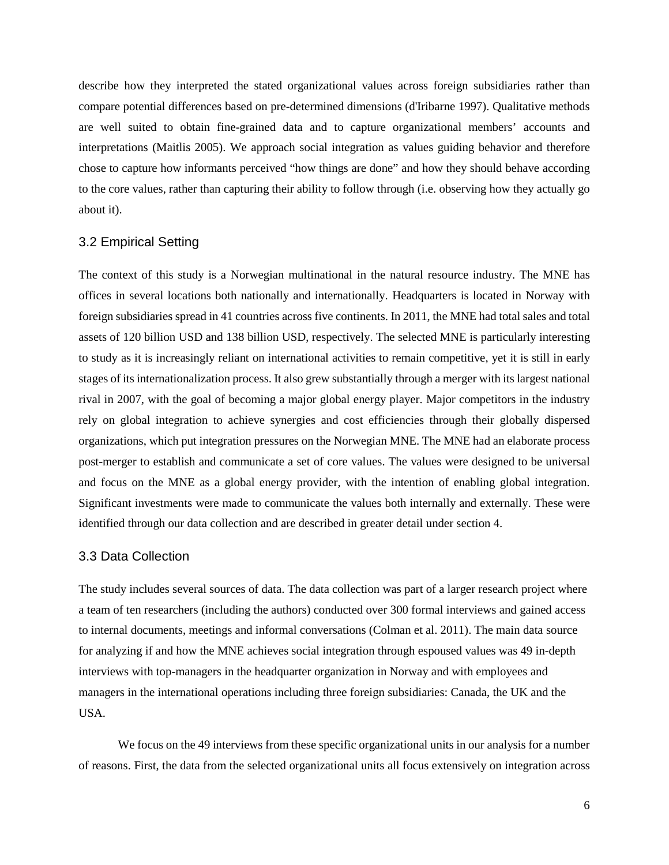describe how they interpreted the stated organizational values across foreign subsidiaries rather than compare potential differences based on pre-determined dimensions (d'Iribarne 1997). Qualitative methods are well suited to obtain fine-grained data and to capture organizational members' accounts and interpretations (Maitlis 2005). We approach social integration as values guiding behavior and therefore chose to capture how informants perceived "how things are done" and how they should behave according to the core values, rather than capturing their ability to follow through (i.e. observing how they actually go about it).

#### 3.2 Empirical Setting

The context of this study is a Norwegian multinational in the natural resource industry. The MNE has offices in several locations both nationally and internationally. Headquarters is located in Norway with foreign subsidiaries spread in 41 countries across five continents. In 2011, the MNE had total sales and total assets of 120 billion USD and 138 billion USD, respectively. The selected MNE is particularly interesting to study as it is increasingly reliant on international activities to remain competitive, yet it is still in early stages of its internationalization process. It also grew substantially through a merger with its largest national rival in 2007, with the goal of becoming a major global energy player. Major competitors in the industry rely on global integration to achieve synergies and cost efficiencies through their globally dispersed organizations, which put integration pressures on the Norwegian MNE. The MNE had an elaborate process post-merger to establish and communicate a set of core values. The values were designed to be universal and focus on the MNE as a global energy provider, with the intention of enabling global integration. Significant investments were made to communicate the values both internally and externally. These were identified through our data collection and are described in greater detail under section 4.

#### 3.3 Data Collection

The study includes several sources of data. The data collection was part of a larger research project where a team of ten researchers (including the authors) conducted over 300 formal interviews and gained access to internal documents, meetings and informal conversations (Colman et al. 2011). The main data source for analyzing if and how the MNE achieves social integration through espoused values was 49 in-depth interviews with top-managers in the headquarter organization in Norway and with employees and managers in the international operations including three foreign subsidiaries: Canada, the UK and the USA.

We focus on the 49 interviews from these specific organizational units in our analysis for a number of reasons. First, the data from the selected organizational units all focus extensively on integration across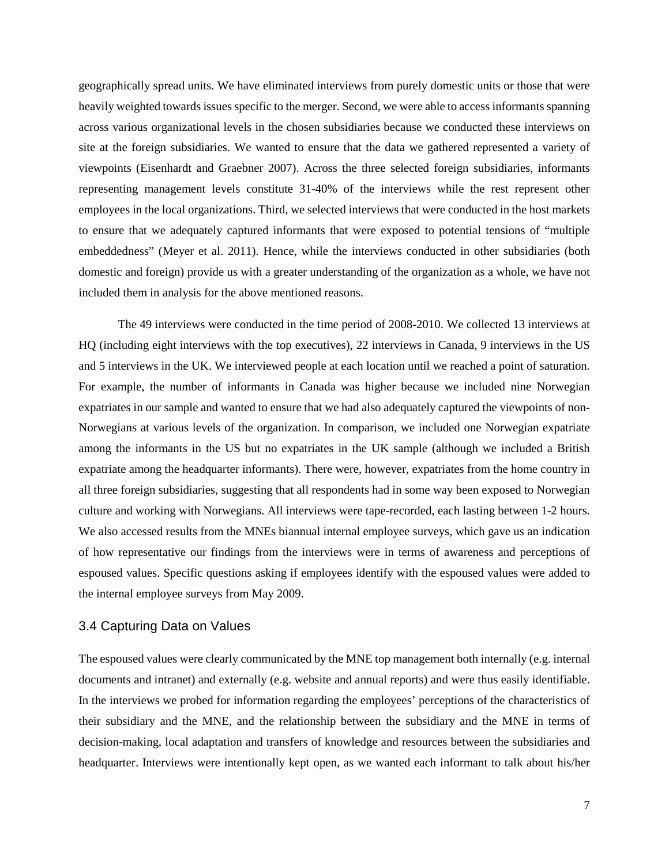geographically spread units. We have eliminated interviews from purely domestic units or those that were heavily weighted towards issues specific to the merger. Second, we were able to access informants spanning across various organizational levels in the chosen subsidiaries because we conducted these interviews on site at the foreign subsidiaries. We wanted to ensure that the data we gathered represented a variety of viewpoints (Eisenhardt and Graebner 2007). Across the three selected foreign subsidiaries, informants representing management levels constitute 31-40% of the interviews while the rest represent other employees in the local organizations. Third, we selected interviews that were conducted in the host markets to ensure that we adequately captured informants that were exposed to potential tensions of "multiple embeddedness" (Meyer et al. 2011). Hence, while the interviews conducted in other subsidiaries (both domestic and foreign) provide us with a greater understanding of the organization as a whole, we have not included them in analysis for the above mentioned reasons.

The 49 interviews were conducted in the time period of 2008-2010. We collected 13 interviews at HQ (including eight interviews with the top executives), 22 interviews in Canada, 9 interviews in the US and 5 interviews in the UK. We interviewed people at each location until we reached a point of saturation. For example, the number of informants in Canada was higher because we included nine Norwegian expatriates in our sample and wanted to ensure that we had also adequately captured the viewpoints of non-Norwegians at various levels of the organization. In comparison, we included one Norwegian expatriate among the informants in the US but no expatriates in the UK sample (although we included a British expatriate among the headquarter informants). There were, however, expatriates from the home country in all three foreign subsidiaries, suggesting that all respondents had in some way been exposed to Norwegian culture and working with Norwegians. All interviews were tape-recorded, each lasting between 1-2 hours. We also accessed results from the MNEs biannual internal employee surveys, which gave us an indication of how representative our findings from the interviews were in terms of awareness and perceptions of espoused values. Specific questions asking if employees identify with the espoused values were added to the internal employee surveys from May 2009.

#### 3.4 Capturing Data on Values

The espoused values were clearly communicated by the MNE top management both internally (e.g. internal documents and intranet) and externally (e.g. website and annual reports) and were thus easily identifiable. In the interviews we probed for information regarding the employees' perceptions of the characteristics of their subsidiary and the MNE, and the relationship between the subsidiary and the MNE in terms of decision-making, local adaptation and transfers of knowledge and resources between the subsidiaries and headquarter. Interviews were intentionally kept open, as we wanted each informant to talk about his/her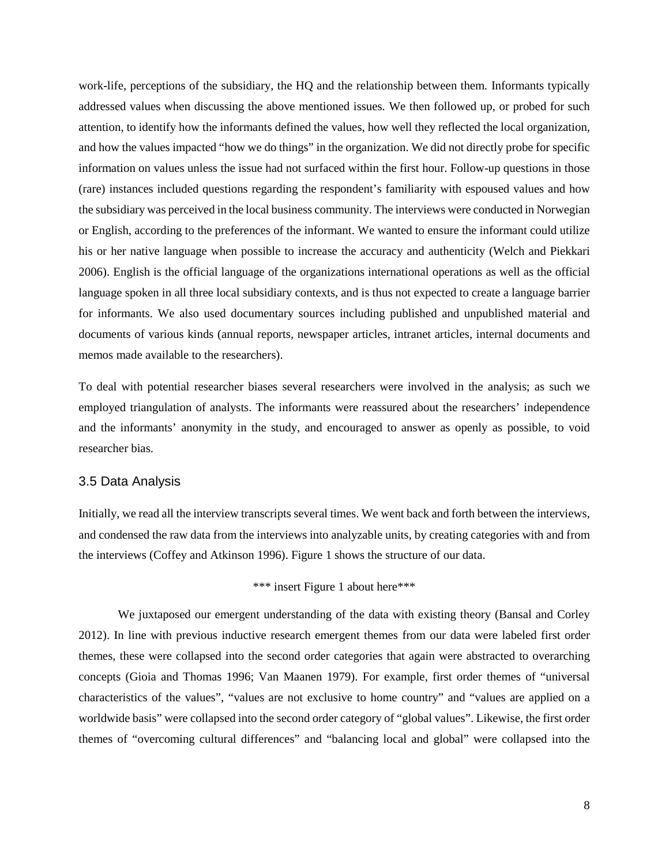work-life, perceptions of the subsidiary, the HQ and the relationship between them. Informants typically addressed values when discussing the above mentioned issues. We then followed up, or probed for such attention, to identify how the informants defined the values, how well they reflected the local organization, and how the values impacted "how we do things" in the organization. We did not directly probe for specific information on values unless the issue had not surfaced within the first hour. Follow-up questions in those (rare) instances included questions regarding the respondent's familiarity with espoused values and how the subsidiary was perceived in the local business community. The interviews were conducted in Norwegian or English, according to the preferences of the informant. We wanted to ensure the informant could utilize his or her native language when possible to increase the accuracy and authenticity (Welch and Piekkari 2006). English is the official language of the organizations international operations as well as the official language spoken in all three local subsidiary contexts, and is thus not expected to create a language barrier for informants. We also used documentary sources including published and unpublished material and documents of various kinds (annual reports, newspaper articles, intranet articles, internal documents and memos made available to the researchers).

To deal with potential researcher biases several researchers were involved in the analysis; as such we employed triangulation of analysts. The informants were reassured about the researchers' independence and the informants' anonymity in the study, and encouraged to answer as openly as possible, to void researcher bias.

#### 3.5 Data Analysis

Initially, we read all the interview transcripts several times. We went back and forth between the interviews, and condensed the raw data from the interviews into analyzable units, by creating categories with and from the interviews (Coffey and Atkinson 1996). Figure 1 shows the structure of our data.

## \*\*\* insert Figure 1 about here\*\*\*

We juxtaposed our emergent understanding of the data with existing theory (Bansal and Corley 2012). In line with previous inductive research emergent themes from our data were labeled first order themes, these were collapsed into the second order categories that again were abstracted to overarching concepts (Gioia and Thomas 1996; Van Maanen 1979). For example, first order themes of "universal characteristics of the values", "values are not exclusive to home country" and "values are applied on a worldwide basis" were collapsed into the second order category of "global values". Likewise, the first order themes of "overcoming cultural differences" and "balancing local and global" were collapsed into the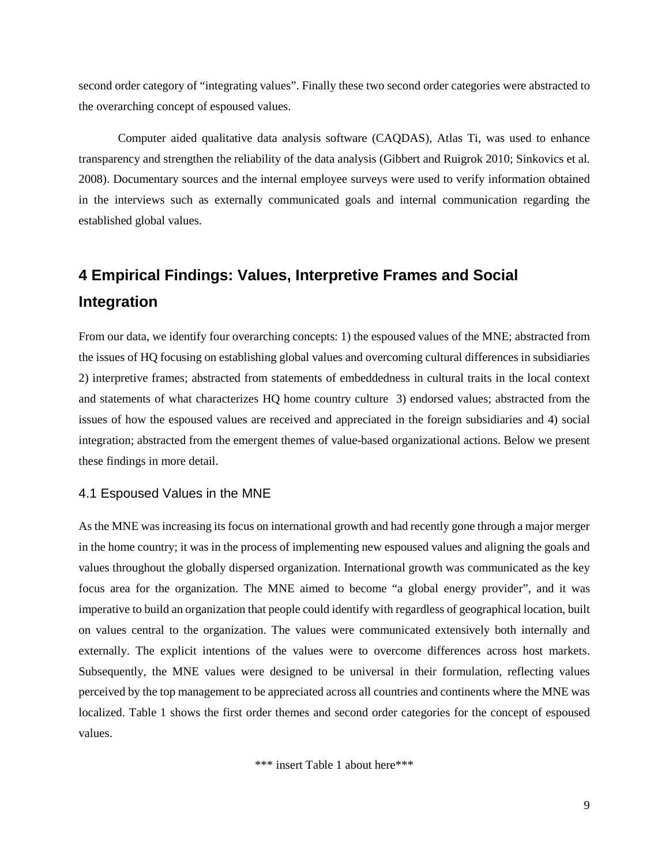second order category of "integrating values". Finally these two second order categories were abstracted to the overarching concept of espoused values.

Computer aided qualitative data analysis software (CAQDAS), Atlas Ti, was used to enhance transparency and strengthen the reliability of the data analysis (Gibbert and Ruigrok 2010; Sinkovics et al. 2008). Documentary sources and the internal employee surveys were used to verify information obtained in the interviews such as externally communicated goals and internal communication regarding the established global values.

# **4 Empirical Findings: Values, Interpretive Frames and Social Integration**

From our data, we identify four overarching concepts: 1) the espoused values of the MNE; abstracted from the issues of HQ focusing on establishing global values and overcoming cultural differences in subsidiaries 2) interpretive frames; abstracted from statements of embeddedness in cultural traits in the local context and statements of what characterizes HQ home country culture 3) endorsed values; abstracted from the issues of how the espoused values are received and appreciated in the foreign subsidiaries and 4) social integration; abstracted from the emergent themes of value-based organizational actions. Below we present these findings in more detail.

#### 4.1 Espoused Values in the MNE

As the MNE was increasing its focus on international growth and had recently gone through a major merger in the home country; it was in the process of implementing new espoused values and aligning the goals and values throughout the globally dispersed organization. International growth was communicated as the key focus area for the organization. The MNE aimed to become "a global energy provider", and it was imperative to build an organization that people could identify with regardless of geographical location, built on values central to the organization. The values were communicated extensively both internally and externally. The explicit intentions of the values were to overcome differences across host markets. Subsequently, the MNE values were designed to be universal in their formulation, reflecting values perceived by the top management to be appreciated across all countries and continents where the MNE was localized. Table 1 shows the first order themes and second order categories for the concept of espoused values.

\*\*\* insert Table 1 about here\*\*\*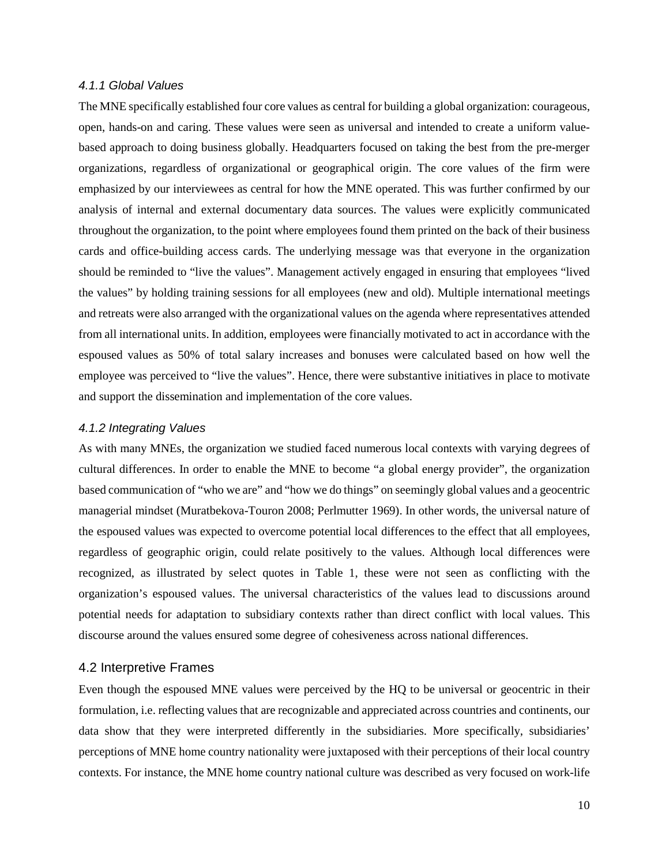#### *4.1.1 Global Values*

The MNE specifically established four core values as central for building a global organization: courageous, open, hands-on and caring. These values were seen as universal and intended to create a uniform valuebased approach to doing business globally. Headquarters focused on taking the best from the pre-merger organizations, regardless of organizational or geographical origin. The core values of the firm were emphasized by our interviewees as central for how the MNE operated. This was further confirmed by our analysis of internal and external documentary data sources. The values were explicitly communicated throughout the organization, to the point where employees found them printed on the back of their business cards and office-building access cards. The underlying message was that everyone in the organization should be reminded to "live the values". Management actively engaged in ensuring that employees "lived the values" by holding training sessions for all employees (new and old). Multiple international meetings and retreats were also arranged with the organizational values on the agenda where representatives attended from all international units. In addition, employees were financially motivated to act in accordance with the espoused values as 50% of total salary increases and bonuses were calculated based on how well the employee was perceived to "live the values". Hence, there were substantive initiatives in place to motivate and support the dissemination and implementation of the core values.

#### *4.1.2 Integrating Values*

As with many MNEs, the organization we studied faced numerous local contexts with varying degrees of cultural differences. In order to enable the MNE to become "a global energy provider", the organization based communication of "who we are" and "how we do things" on seemingly global values and a geocentric managerial mindset (Muratbekova-Touron 2008; Perlmutter 1969). In other words, the universal nature of the espoused values was expected to overcome potential local differences to the effect that all employees, regardless of geographic origin, could relate positively to the values. Although local differences were recognized, as illustrated by select quotes in Table 1, these were not seen as conflicting with the organization's espoused values. The universal characteristics of the values lead to discussions around potential needs for adaptation to subsidiary contexts rather than direct conflict with local values. This discourse around the values ensured some degree of cohesiveness across national differences.

#### 4.2 Interpretive Frames

Even though the espoused MNE values were perceived by the HQ to be universal or geocentric in their formulation, i.e. reflecting values that are recognizable and appreciated across countries and continents, our data show that they were interpreted differently in the subsidiaries. More specifically, subsidiaries' perceptions of MNE home country nationality were juxtaposed with their perceptions of their local country contexts. For instance, the MNE home country national culture was described as very focused on work-life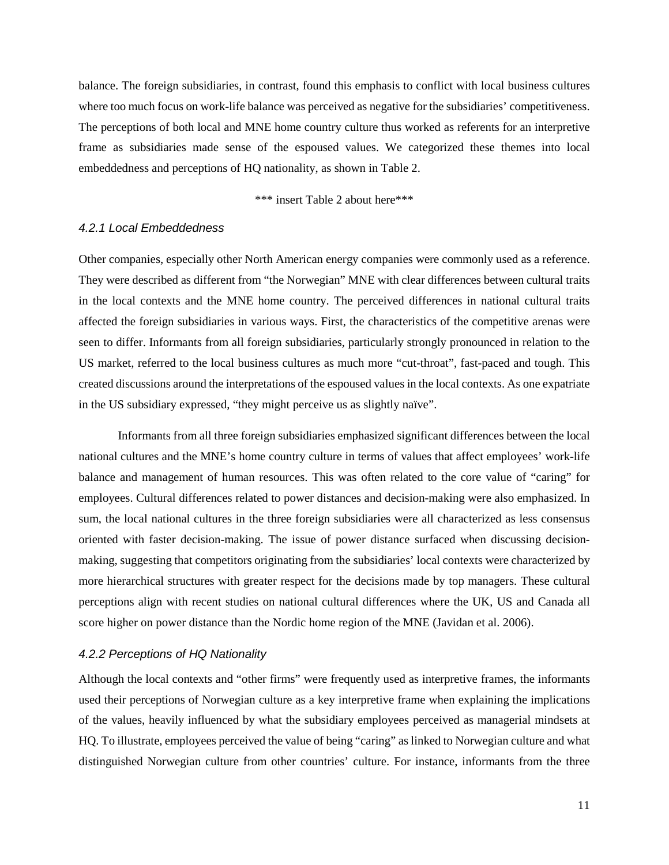balance. The foreign subsidiaries, in contrast, found this emphasis to conflict with local business cultures where too much focus on work-life balance was perceived as negative for the subsidiaries' competitiveness. The perceptions of both local and MNE home country culture thus worked as referents for an interpretive frame as subsidiaries made sense of the espoused values. We categorized these themes into local embeddedness and perceptions of HQ nationality, as shown in Table 2.

\*\*\* insert Table 2 about here\*\*\*

#### *4.2.1 Local Embeddedness*

Other companies, especially other North American energy companies were commonly used as a reference. They were described as different from "the Norwegian" MNE with clear differences between cultural traits in the local contexts and the MNE home country. The perceived differences in national cultural traits affected the foreign subsidiaries in various ways. First, the characteristics of the competitive arenas were seen to differ. Informants from all foreign subsidiaries, particularly strongly pronounced in relation to the US market, referred to the local business cultures as much more "cut-throat", fast-paced and tough. This created discussions around the interpretations of the espoused values in the local contexts. As one expatriate in the US subsidiary expressed, "they might perceive us as slightly naïve".

Informants from all three foreign subsidiaries emphasized significant differences between the local national cultures and the MNE's home country culture in terms of values that affect employees' work-life balance and management of human resources. This was often related to the core value of "caring" for employees. Cultural differences related to power distances and decision-making were also emphasized. In sum, the local national cultures in the three foreign subsidiaries were all characterized as less consensus oriented with faster decision-making. The issue of power distance surfaced when discussing decisionmaking, suggesting that competitors originating from the subsidiaries' local contexts were characterized by more hierarchical structures with greater respect for the decisions made by top managers. These cultural perceptions align with recent studies on national cultural differences where the UK, US and Canada all score higher on power distance than the Nordic home region of the MNE (Javidan et al. 2006).

#### *4.2.2 Perceptions of HQ Nationality*

Although the local contexts and "other firms" were frequently used as interpretive frames, the informants used their perceptions of Norwegian culture as a key interpretive frame when explaining the implications of the values, heavily influenced by what the subsidiary employees perceived as managerial mindsets at HQ. To illustrate, employees perceived the value of being "caring" as linked to Norwegian culture and what distinguished Norwegian culture from other countries' culture. For instance, informants from the three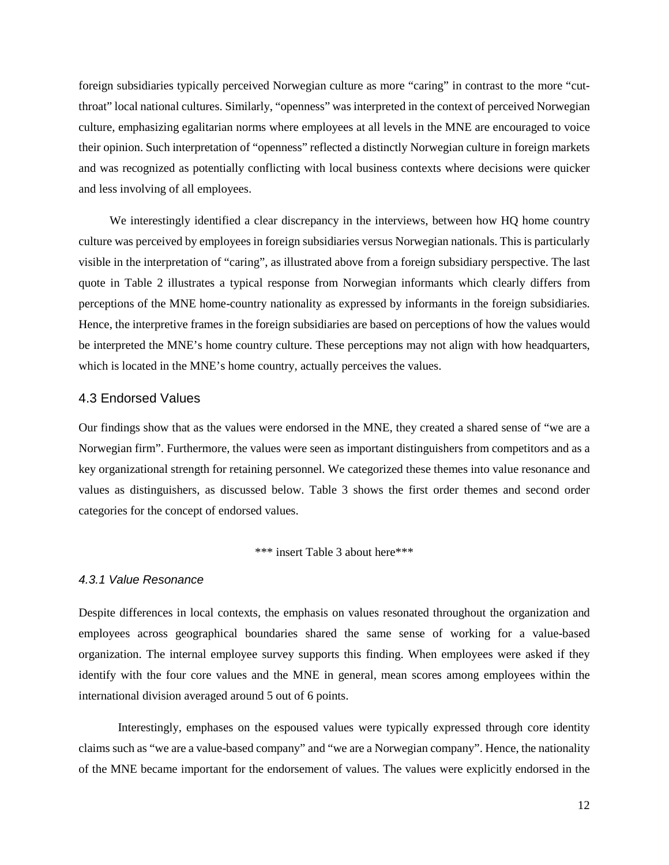foreign subsidiaries typically perceived Norwegian culture as more "caring" in contrast to the more "cutthroat" local national cultures. Similarly, "openness" was interpreted in the context of perceived Norwegian culture, emphasizing egalitarian norms where employees at all levels in the MNE are encouraged to voice their opinion. Such interpretation of "openness" reflected a distinctly Norwegian culture in foreign markets and was recognized as potentially conflicting with local business contexts where decisions were quicker and less involving of all employees.

We interestingly identified a clear discrepancy in the interviews, between how HQ home country culture was perceived by employees in foreign subsidiaries versus Norwegian nationals. This is particularly visible in the interpretation of "caring", as illustrated above from a foreign subsidiary perspective. The last quote in Table 2 illustrates a typical response from Norwegian informants which clearly differs from perceptions of the MNE home-country nationality as expressed by informants in the foreign subsidiaries. Hence, the interpretive frames in the foreign subsidiaries are based on perceptions of how the values would be interpreted the MNE's home country culture. These perceptions may not align with how headquarters, which is located in the MNE's home country, actually perceives the values.

#### 4.3 Endorsed Values

Our findings show that as the values were endorsed in the MNE, they created a shared sense of "we are a Norwegian firm". Furthermore, the values were seen as important distinguishers from competitors and as a key organizational strength for retaining personnel. We categorized these themes into value resonance and values as distinguishers, as discussed below. Table 3 shows the first order themes and second order categories for the concept of endorsed values.

\*\*\* insert Table 3 about here\*\*\*

#### *4.3.1 Value Resonance*

Despite differences in local contexts, the emphasis on values resonated throughout the organization and employees across geographical boundaries shared the same sense of working for a value-based organization. The internal employee survey supports this finding. When employees were asked if they identify with the four core values and the MNE in general, mean scores among employees within the international division averaged around 5 out of 6 points.

Interestingly, emphases on the espoused values were typically expressed through core identity claims such as "we are a value-based company" and "we are a Norwegian company". Hence, the nationality of the MNE became important for the endorsement of values. The values were explicitly endorsed in the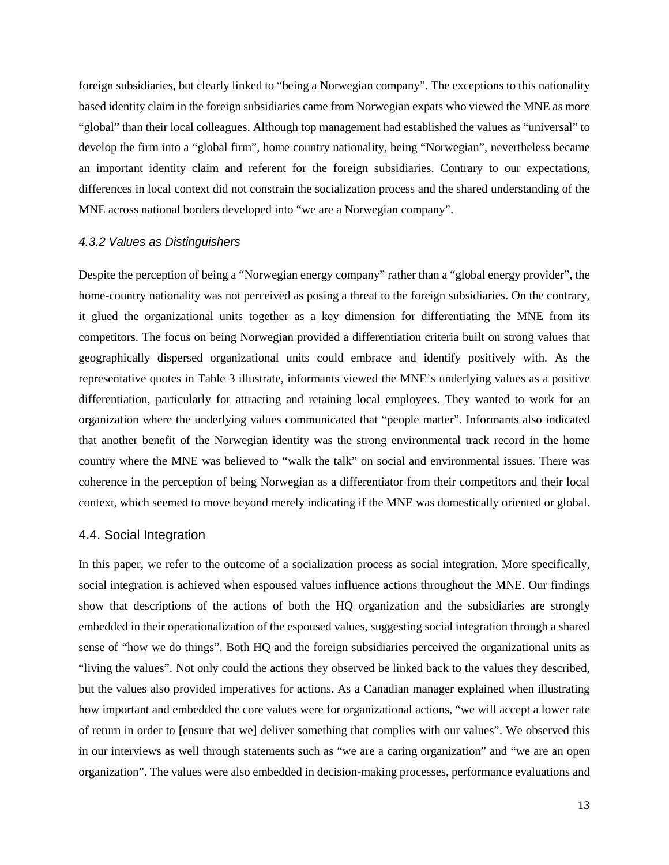foreign subsidiaries, but clearly linked to "being a Norwegian company". The exceptions to this nationality based identity claim in the foreign subsidiaries came from Norwegian expats who viewed the MNE as more "global" than their local colleagues. Although top management had established the values as "universal" to develop the firm into a "global firm", home country nationality, being "Norwegian", nevertheless became an important identity claim and referent for the foreign subsidiaries. Contrary to our expectations, differences in local context did not constrain the socialization process and the shared understanding of the MNE across national borders developed into "we are a Norwegian company".

#### *4.3.2 Values as Distinguishers*

Despite the perception of being a "Norwegian energy company" rather than a "global energy provider", the home-country nationality was not perceived as posing a threat to the foreign subsidiaries. On the contrary, it glued the organizational units together as a key dimension for differentiating the MNE from its competitors. The focus on being Norwegian provided a differentiation criteria built on strong values that geographically dispersed organizational units could embrace and identify positively with. As the representative quotes in Table 3 illustrate, informants viewed the MNE's underlying values as a positive differentiation, particularly for attracting and retaining local employees. They wanted to work for an organization where the underlying values communicated that "people matter". Informants also indicated that another benefit of the Norwegian identity was the strong environmental track record in the home country where the MNE was believed to "walk the talk" on social and environmental issues. There was coherence in the perception of being Norwegian as a differentiator from their competitors and their local context, which seemed to move beyond merely indicating if the MNE was domestically oriented or global.

#### 4.4. Social Integration

In this paper, we refer to the outcome of a socialization process as social integration. More specifically, social integration is achieved when espoused values influence actions throughout the MNE. Our findings show that descriptions of the actions of both the HQ organization and the subsidiaries are strongly embedded in their operationalization of the espoused values, suggesting social integration through a shared sense of "how we do things". Both HQ and the foreign subsidiaries perceived the organizational units as "living the values". Not only could the actions they observed be linked back to the values they described, but the values also provided imperatives for actions. As a Canadian manager explained when illustrating how important and embedded the core values were for organizational actions, "we will accept a lower rate of return in order to [ensure that we] deliver something that complies with our values". We observed this in our interviews as well through statements such as "we are a caring organization" and "we are an open organization". The values were also embedded in decision-making processes, performance evaluations and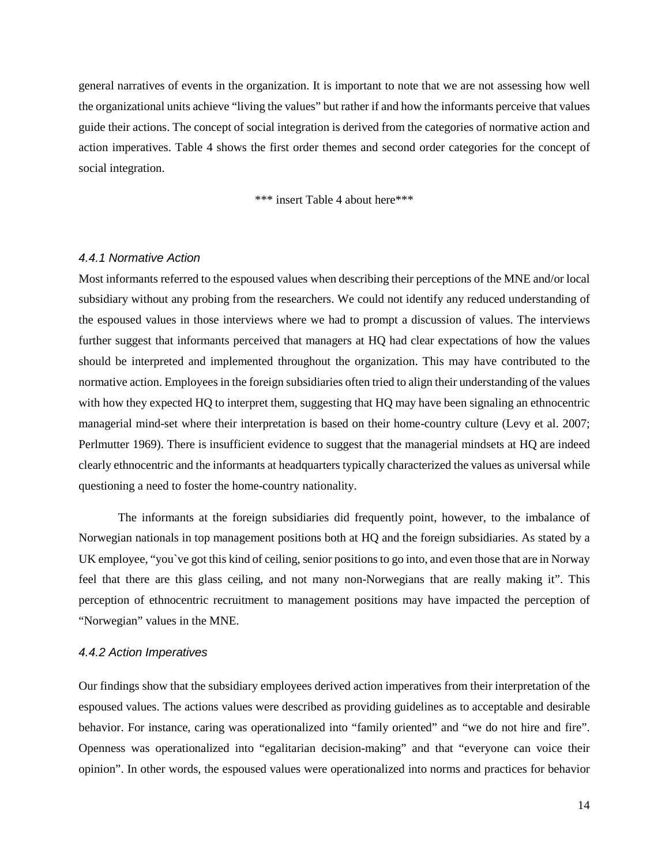general narratives of events in the organization. It is important to note that we are not assessing how well the organizational units achieve "living the values" but rather if and how the informants perceive that values guide their actions. The concept of social integration is derived from the categories of normative action and action imperatives. Table 4 shows the first order themes and second order categories for the concept of social integration.

\*\*\* insert Table 4 about here\*\*\*

#### *4.4.1 Normative Action*

Most informants referred to the espoused values when describing their perceptions of the MNE and/or local subsidiary without any probing from the researchers. We could not identify any reduced understanding of the espoused values in those interviews where we had to prompt a discussion of values. The interviews further suggest that informants perceived that managers at HQ had clear expectations of how the values should be interpreted and implemented throughout the organization. This may have contributed to the normative action. Employees in the foreign subsidiaries often tried to align their understanding of the values with how they expected HQ to interpret them, suggesting that HQ may have been signaling an ethnocentric managerial mind-set where their interpretation is based on their home-country culture (Levy et al. 2007; Perlmutter 1969). There is insufficient evidence to suggest that the managerial mindsets at HQ are indeed clearly ethnocentric and the informants at headquarters typically characterized the values as universal while questioning a need to foster the home-country nationality.

The informants at the foreign subsidiaries did frequently point, however, to the imbalance of Norwegian nationals in top management positions both at HQ and the foreign subsidiaries. As stated by a UK employee, "you`ve got this kind of ceiling, senior positions to go into, and even those that are in Norway feel that there are this glass ceiling, and not many non-Norwegians that are really making it". This perception of ethnocentric recruitment to management positions may have impacted the perception of "Norwegian" values in the MNE.

#### *4.4.2 Action Imperatives*

Our findings show that the subsidiary employees derived action imperatives from their interpretation of the espoused values. The actions values were described as providing guidelines as to acceptable and desirable behavior. For instance, caring was operationalized into "family oriented" and "we do not hire and fire". Openness was operationalized into "egalitarian decision-making" and that "everyone can voice their opinion". In other words, the espoused values were operationalized into norms and practices for behavior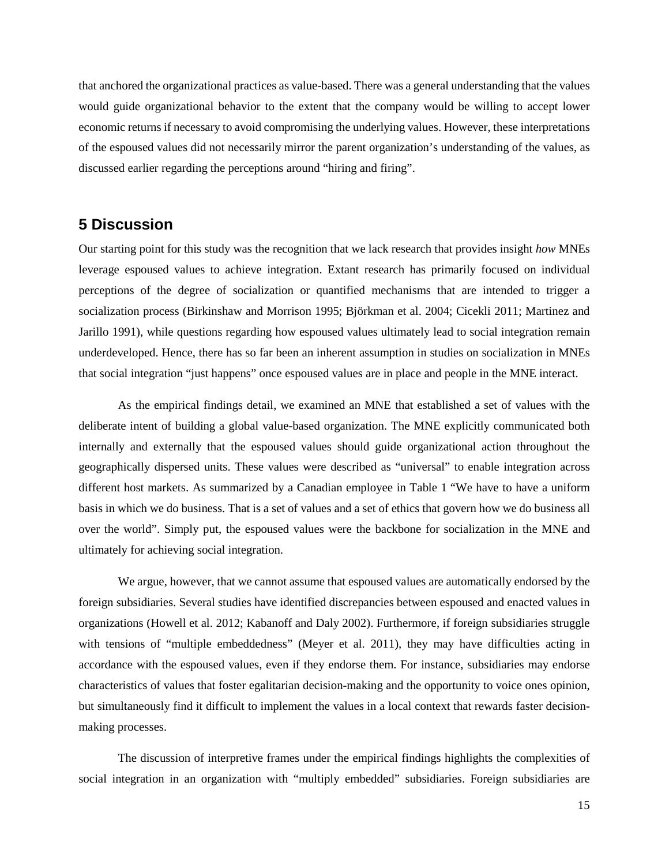that anchored the organizational practices as value-based. There was a general understanding that the values would guide organizational behavior to the extent that the company would be willing to accept lower economic returns if necessary to avoid compromising the underlying values. However, these interpretations of the espoused values did not necessarily mirror the parent organization's understanding of the values, as discussed earlier regarding the perceptions around "hiring and firing".

### **5 Discussion**

Our starting point for this study was the recognition that we lack research that provides insight *how* MNEs leverage espoused values to achieve integration. Extant research has primarily focused on individual perceptions of the degree of socialization or quantified mechanisms that are intended to trigger a socialization process (Birkinshaw and Morrison 1995; Björkman et al. 2004; Cicekli 2011; Martinez and Jarillo 1991), while questions regarding how espoused values ultimately lead to social integration remain underdeveloped. Hence, there has so far been an inherent assumption in studies on socialization in MNEs that social integration "just happens" once espoused values are in place and people in the MNE interact.

As the empirical findings detail, we examined an MNE that established a set of values with the deliberate intent of building a global value-based organization. The MNE explicitly communicated both internally and externally that the espoused values should guide organizational action throughout the geographically dispersed units. These values were described as "universal" to enable integration across different host markets. As summarized by a Canadian employee in Table 1 "We have to have a uniform basis in which we do business. That is a set of values and a set of ethics that govern how we do business all over the world". Simply put, the espoused values were the backbone for socialization in the MNE and ultimately for achieving social integration.

We argue, however, that we cannot assume that espoused values are automatically endorsed by the foreign subsidiaries. Several studies have identified discrepancies between espoused and enacted values in organizations (Howell et al. 2012; Kabanoff and Daly 2002). Furthermore, if foreign subsidiaries struggle with tensions of "multiple embeddedness" (Meyer et al. 2011), they may have difficulties acting in accordance with the espoused values, even if they endorse them. For instance, subsidiaries may endorse characteristics of values that foster egalitarian decision-making and the opportunity to voice ones opinion, but simultaneously find it difficult to implement the values in a local context that rewards faster decisionmaking processes.

The discussion of interpretive frames under the empirical findings highlights the complexities of social integration in an organization with "multiply embedded" subsidiaries. Foreign subsidiaries are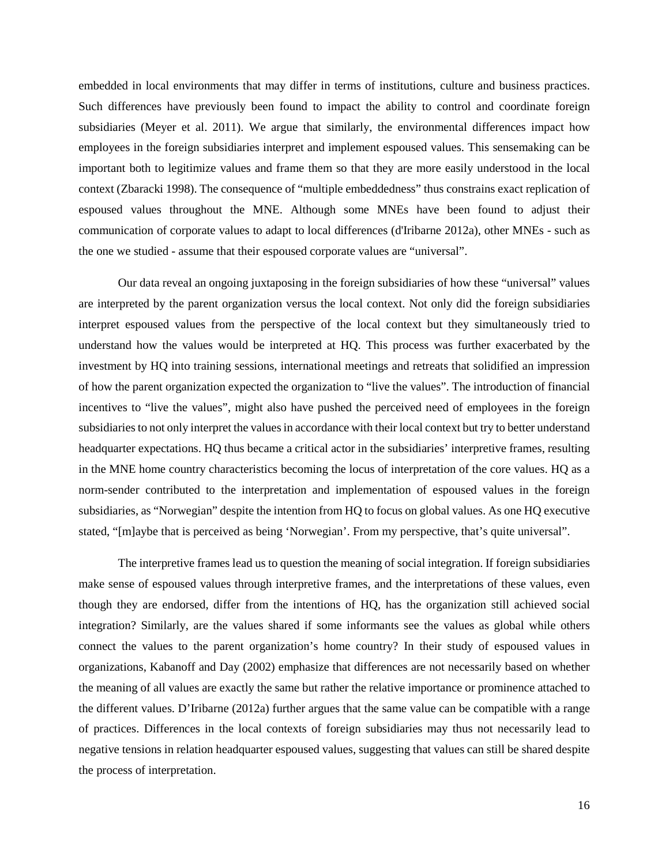embedded in local environments that may differ in terms of institutions, culture and business practices. Such differences have previously been found to impact the ability to control and coordinate foreign subsidiaries (Meyer et al. 2011). We argue that similarly, the environmental differences impact how employees in the foreign subsidiaries interpret and implement espoused values. This sensemaking can be important both to legitimize values and frame them so that they are more easily understood in the local context (Zbaracki 1998). The consequence of "multiple embeddedness" thus constrains exact replication of espoused values throughout the MNE. Although some MNEs have been found to adjust their communication of corporate values to adapt to local differences (d'Iribarne 2012a), other MNEs - such as the one we studied - assume that their espoused corporate values are "universal".

Our data reveal an ongoing juxtaposing in the foreign subsidiaries of how these "universal" values are interpreted by the parent organization versus the local context. Not only did the foreign subsidiaries interpret espoused values from the perspective of the local context but they simultaneously tried to understand how the values would be interpreted at HQ. This process was further exacerbated by the investment by HQ into training sessions, international meetings and retreats that solidified an impression of how the parent organization expected the organization to "live the values". The introduction of financial incentives to "live the values", might also have pushed the perceived need of employees in the foreign subsidiaries to not only interpret the values in accordance with their local context but try to better understand headquarter expectations. HQ thus became a critical actor in the subsidiaries' interpretive frames, resulting in the MNE home country characteristics becoming the locus of interpretation of the core values. HQ as a norm-sender contributed to the interpretation and implementation of espoused values in the foreign subsidiaries, as "Norwegian" despite the intention from HQ to focus on global values. As one HQ executive stated, "[m]aybe that is perceived as being 'Norwegian'. From my perspective, that's quite universal".

The interpretive frames lead us to question the meaning of social integration. If foreign subsidiaries make sense of espoused values through interpretive frames, and the interpretations of these values, even though they are endorsed, differ from the intentions of HQ, has the organization still achieved social integration? Similarly, are the values shared if some informants see the values as global while others connect the values to the parent organization's home country? In their study of espoused values in organizations, Kabanoff and Day (2002) emphasize that differences are not necessarily based on whether the meaning of all values are exactly the same but rather the relative importance or prominence attached to the different values. D'Iribarne (2012a) further argues that the same value can be compatible with a range of practices. Differences in the local contexts of foreign subsidiaries may thus not necessarily lead to negative tensions in relation headquarter espoused values, suggesting that values can still be shared despite the process of interpretation.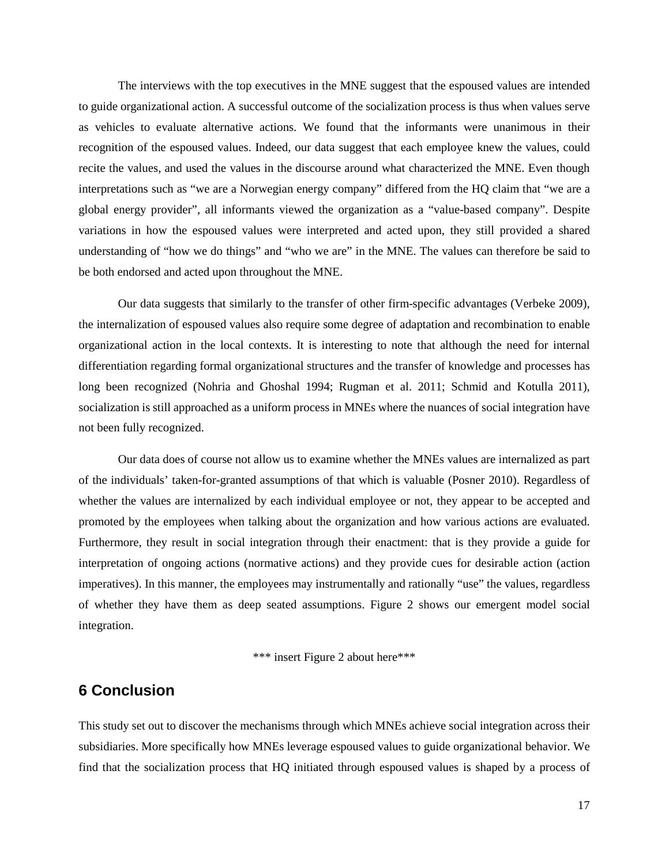The interviews with the top executives in the MNE suggest that the espoused values are intended to guide organizational action. A successful outcome of the socialization process is thus when values serve as vehicles to evaluate alternative actions. We found that the informants were unanimous in their recognition of the espoused values. Indeed, our data suggest that each employee knew the values, could recite the values, and used the values in the discourse around what characterized the MNE. Even though interpretations such as "we are a Norwegian energy company" differed from the HQ claim that "we are a global energy provider", all informants viewed the organization as a "value-based company". Despite variations in how the espoused values were interpreted and acted upon, they still provided a shared understanding of "how we do things" and "who we are" in the MNE. The values can therefore be said to be both endorsed and acted upon throughout the MNE.

Our data suggests that similarly to the transfer of other firm-specific advantages (Verbeke 2009), the internalization of espoused values also require some degree of adaptation and recombination to enable organizational action in the local contexts. It is interesting to note that although the need for internal differentiation regarding formal organizational structures and the transfer of knowledge and processes has long been recognized (Nohria and Ghoshal 1994; Rugman et al. 2011; Schmid and Kotulla 2011), socialization is still approached as a uniform process in MNEs where the nuances of social integration have not been fully recognized.

Our data does of course not allow us to examine whether the MNEs values are internalized as part of the individuals' taken-for-granted assumptions of that which is valuable (Posner 2010). Regardless of whether the values are internalized by each individual employee or not, they appear to be accepted and promoted by the employees when talking about the organization and how various actions are evaluated. Furthermore, they result in social integration through their enactment: that is they provide a guide for interpretation of ongoing actions (normative actions) and they provide cues for desirable action (action imperatives). In this manner, the employees may instrumentally and rationally "use" the values, regardless of whether they have them as deep seated assumptions. Figure 2 shows our emergent model social integration.

\*\*\* insert Figure 2 about here\*\*\*

## **6 Conclusion**

This study set out to discover the mechanisms through which MNEs achieve social integration across their subsidiaries. More specifically how MNEs leverage espoused values to guide organizational behavior. We find that the socialization process that HQ initiated through espoused values is shaped by a process of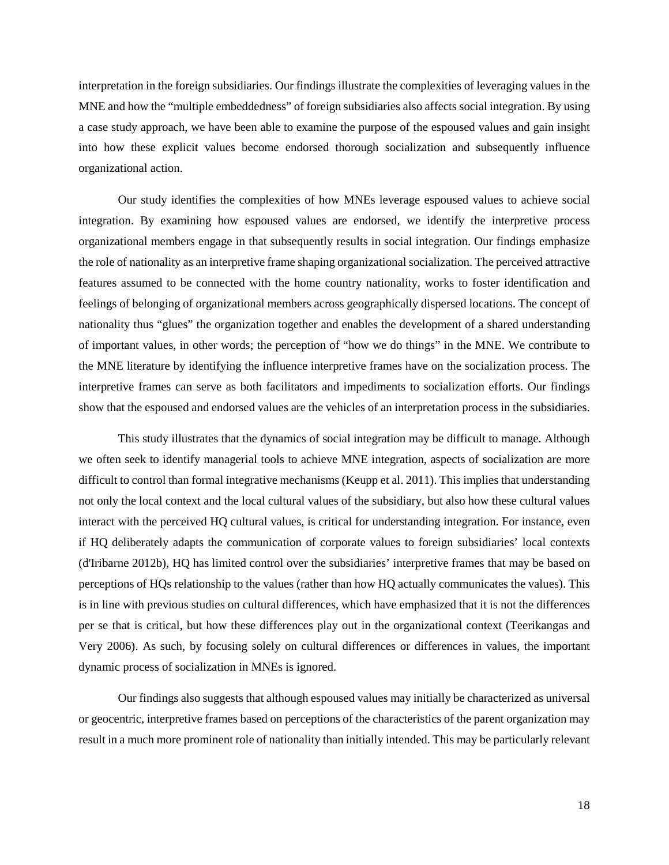interpretation in the foreign subsidiaries. Our findings illustrate the complexities of leveraging values in the MNE and how the "multiple embeddedness" of foreign subsidiaries also affects social integration. By using a case study approach, we have been able to examine the purpose of the espoused values and gain insight into how these explicit values become endorsed thorough socialization and subsequently influence organizational action.

Our study identifies the complexities of how MNEs leverage espoused values to achieve social integration. By examining how espoused values are endorsed, we identify the interpretive process organizational members engage in that subsequently results in social integration. Our findings emphasize the role of nationality as an interpretive frame shaping organizational socialization. The perceived attractive features assumed to be connected with the home country nationality, works to foster identification and feelings of belonging of organizational members across geographically dispersed locations. The concept of nationality thus "glues" the organization together and enables the development of a shared understanding of important values, in other words; the perception of "how we do things" in the MNE. We contribute to the MNE literature by identifying the influence interpretive frames have on the socialization process. The interpretive frames can serve as both facilitators and impediments to socialization efforts. Our findings show that the espoused and endorsed values are the vehicles of an interpretation process in the subsidiaries.

This study illustrates that the dynamics of social integration may be difficult to manage. Although we often seek to identify managerial tools to achieve MNE integration, aspects of socialization are more difficult to control than formal integrative mechanisms (Keupp et al. 2011). This implies that understanding not only the local context and the local cultural values of the subsidiary, but also how these cultural values interact with the perceived HQ cultural values, is critical for understanding integration. For instance, even if HQ deliberately adapts the communication of corporate values to foreign subsidiaries' local contexts (d'Iribarne 2012b), HQ has limited control over the subsidiaries' interpretive frames that may be based on perceptions of HQs relationship to the values (rather than how HQ actually communicates the values). This is in line with previous studies on cultural differences, which have emphasized that it is not the differences per se that is critical, but how these differences play out in the organizational context (Teerikangas and Very 2006). As such, by focusing solely on cultural differences or differences in values, the important dynamic process of socialization in MNEs is ignored.

Our findings also suggests that although espoused values may initially be characterized as universal or geocentric, interpretive frames based on perceptions of the characteristics of the parent organization may result in a much more prominent role of nationality than initially intended. This may be particularly relevant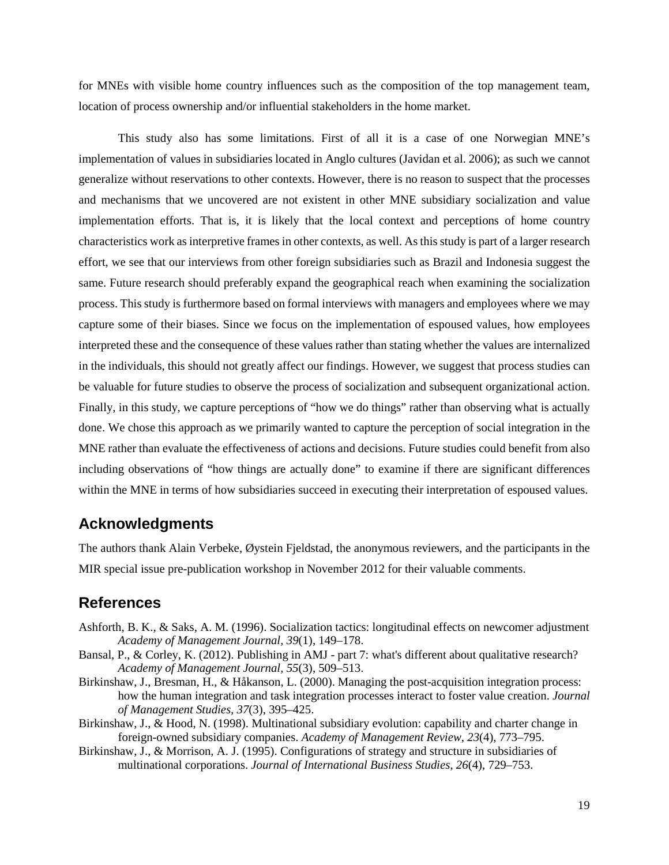for MNEs with visible home country influences such as the composition of the top management team, location of process ownership and/or influential stakeholders in the home market.

This study also has some limitations. First of all it is a case of one Norwegian MNE's implementation of values in subsidiaries located in Anglo cultures (Javidan et al. 2006); as such we cannot generalize without reservations to other contexts. However, there is no reason to suspect that the processes and mechanisms that we uncovered are not existent in other MNE subsidiary socialization and value implementation efforts. That is, it is likely that the local context and perceptions of home country characteristics work as interpretive frames in other contexts, as well. As this study is part of a larger research effort, we see that our interviews from other foreign subsidiaries such as Brazil and Indonesia suggest the same. Future research should preferably expand the geographical reach when examining the socialization process. This study is furthermore based on formal interviews with managers and employees where we may capture some of their biases. Since we focus on the implementation of espoused values, how employees interpreted these and the consequence of these values rather than stating whether the values are internalized in the individuals, this should not greatly affect our findings. However, we suggest that process studies can be valuable for future studies to observe the process of socialization and subsequent organizational action. Finally, in this study, we capture perceptions of "how we do things" rather than observing what is actually done. We chose this approach as we primarily wanted to capture the perception of social integration in the MNE rather than evaluate the effectiveness of actions and decisions. Future studies could benefit from also including observations of "how things are actually done" to examine if there are significant differences within the MNE in terms of how subsidiaries succeed in executing their interpretation of espoused values.

## **Acknowledgments**

The authors thank Alain Verbeke, Øystein Fjeldstad, the anonymous reviewers, and the participants in the MIR special issue pre-publication workshop in November 2012 for their valuable comments.

## **References**

- Ashforth, B. K., & Saks, A. M. (1996). Socialization tactics: longitudinal effects on newcomer adjustment *Academy of Management Journal, 39*(1), 149–178.
- Bansal, P., & Corley, K. (2012). Publishing in AMJ part 7: what's different about qualitative research? *Academy of Management Journal, 55*(3), 509–513.
- Birkinshaw, J., Bresman, H., & Håkanson, L. (2000). Managing the post-acquisition integration process: how the human integration and task integration processes interact to foster value creation. *Journal of Management Studies, 37*(3), 395–425.
- Birkinshaw, J., & Hood, N. (1998). Multinational subsidiary evolution: capability and charter change in foreign-owned subsidiary companies. *Academy of Management Review, 23*(4), 773–795.
- Birkinshaw, J., & Morrison, A. J. (1995). Configurations of strategy and structure in subsidiaries of multinational corporations. *Journal of International Business Studies, 26*(4), 729–753.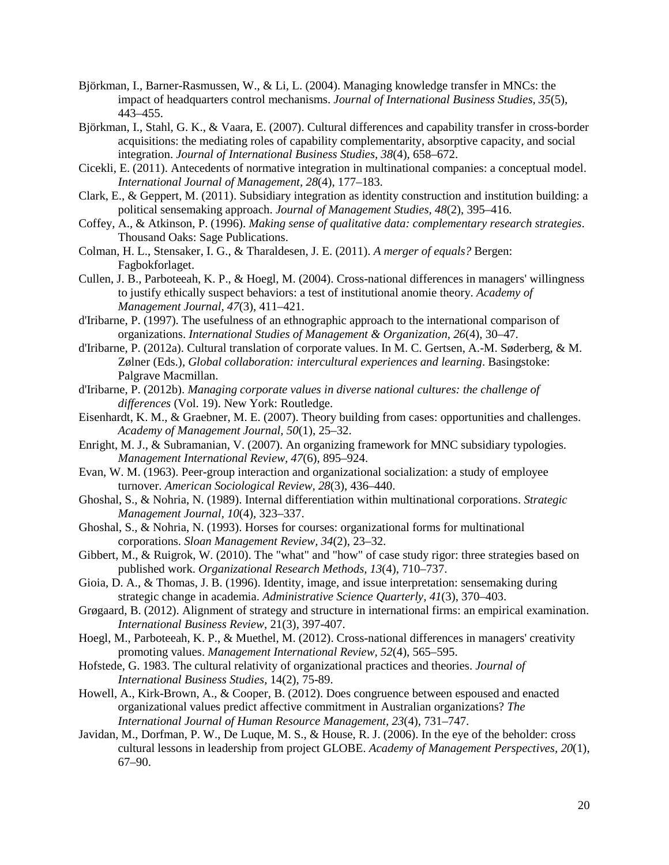- Björkman, I., Barner-Rasmussen, W., & Li, L. (2004). Managing knowledge transfer in MNCs: the impact of headquarters control mechanisms. *Journal of International Business Studies, 35*(5), 443–455.
- Björkman, I., Stahl, G. K., & Vaara, E. (2007). Cultural differences and capability transfer in cross-border acquisitions: the mediating roles of capability complementarity, absorptive capacity, and social integration. *Journal of International Business Studies, 38*(4), 658–672.
- Cicekli, E. (2011). Antecedents of normative integration in multinational companies: a conceptual model. *International Journal of Management, 28*(4), 177–183.
- Clark, E., & Geppert, M. (2011). Subsidiary integration as identity construction and institution building: a political sensemaking approach. *Journal of Management Studies, 48*(2), 395–416.
- Coffey, A., & Atkinson, P. (1996). *Making sense of qualitative data: complementary research strategies*. Thousand Oaks: Sage Publications.
- Colman, H. L., Stensaker, I. G., & Tharaldesen, J. E. (2011). *A merger of equals?* Bergen: Fagbokforlaget.
- Cullen, J. B., Parboteeah, K. P., & Hoegl, M. (2004). Cross-national differences in managers' willingness to justify ethically suspect behaviors: a test of institutional anomie theory. *Academy of Management Journal, 47*(3), 411–421.
- d'Iribarne, P. (1997). The usefulness of an ethnographic approach to the international comparison of organizations. *International Studies of Management & Organization, 26*(4), 30–47.
- d'Iribarne, P. (2012a). Cultural translation of corporate values. In M. C. Gertsen, A.-M. Søderberg, & M. Zølner (Eds.), *Global collaboration: intercultural experiences and learning*. Basingstoke: Palgrave Macmillan.
- d'Iribarne, P. (2012b). *Managing corporate values in diverse national cultures: the challenge of differences* (Vol. 19). New York: Routledge.
- Eisenhardt, K. M., & Graebner, M. E. (2007). Theory building from cases: opportunities and challenges. *Academy of Management Journal, 50*(1), 25–32.
- Enright, M. J., & Subramanian, V. (2007). An organizing framework for MNC subsidiary typologies. *Management International Review, 47*(6), 895–924.
- Evan, W. M. (1963). Peer-group interaction and organizational socialization: a study of employee turnover. *American Sociological Review, 28*(3), 436–440.
- Ghoshal, S., & Nohria, N. (1989). Internal differentiation within multinational corporations. *Strategic Management Journal, 10*(4), 323–337.
- Ghoshal, S., & Nohria, N. (1993). Horses for courses: organizational forms for multinational corporations. *Sloan Management Review, 34*(2), 23–32.
- Gibbert, M., & Ruigrok, W. (2010). The "what" and "how" of case study rigor: three strategies based on published work. *Organizational Research Methods, 13*(4), 710–737.
- Gioia, D. A., & Thomas, J. B. (1996). Identity, image, and issue interpretation: sensemaking during strategic change in academia. *Administrative Science Quarterly, 41*(3), 370–403.
- Grøgaard, B. (2012). Alignment of strategy and structure in international firms: an empirical examination. *International Business Review*, 21(3), 397-407.
- Hoegl, M., Parboteeah, K. P., & Muethel, M. (2012). Cross-national differences in managers' creativity promoting values. *Management International Review, 52*(4), 565–595.
- Hofstede, G. 1983. The cultural relativity of organizational practices and theories. *Journal of International Business Studies*, 14(2), 75-89.
- Howell, A., Kirk-Brown, A., & Cooper, B. (2012). Does congruence between espoused and enacted organizational values predict affective commitment in Australian organizations? *The International Journal of Human Resource Management, 23*(4), 731–747.
- Javidan, M., Dorfman, P. W., De Luque, M. S., & House, R. J. (2006). In the eye of the beholder: cross cultural lessons in leadership from project GLOBE. *Academy of Management Perspectives, 20*(1), 67–90.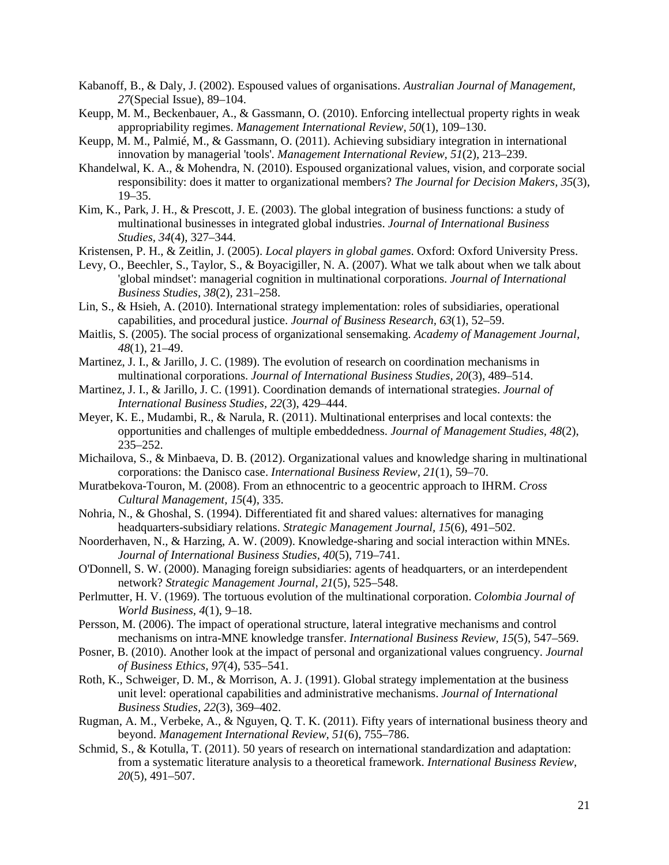- Kabanoff, B., & Daly, J. (2002). Espoused values of organisations. *Australian Journal of Management, 27*(Special Issue), 89–104.
- Keupp, M. M., Beckenbauer, A., & Gassmann, O. (2010). Enforcing intellectual property rights in weak appropriability regimes. *Management International Review, 50*(1), 109–130.
- Keupp, M. M., Palmié, M., & Gassmann, O. (2011). Achieving subsidiary integration in international innovation by managerial 'tools'. *Management International Review, 51*(2), 213–239.
- Khandelwal, K. A., & Mohendra, N. (2010). Espoused organizational values, vision, and corporate social responsibility: does it matter to organizational members? *The Journal for Decision Makers, 35*(3), 19–35.
- Kim, K., Park, J. H., & Prescott, J. E. (2003). The global integration of business functions: a study of multinational businesses in integrated global industries. *Journal of International Business Studies, 34*(4), 327–344.
- Kristensen, P. H., & Zeitlin, J. (2005). *Local players in global games*. Oxford: Oxford University Press.
- Levy, O., Beechler, S., Taylor, S., & Boyacigiller, N. A. (2007). What we talk about when we talk about 'global mindset': managerial cognition in multinational corporations. *Journal of International Business Studies, 38*(2), 231–258.
- Lin, S., & Hsieh, A. (2010). International strategy implementation: roles of subsidiaries, operational capabilities, and procedural justice. *Journal of Business Research, 63*(1), 52–59.
- Maitlis, S. (2005). The social process of organizational sensemaking. *Academy of Management Journal, 48*(1), 21–49.
- Martinez, J. I., & Jarillo, J. C. (1989). The evolution of research on coordination mechanisms in multinational corporations. *Journal of International Business Studies, 20*(3), 489–514.
- Martinez, J. I., & Jarillo, J. C. (1991). Coordination demands of international strategies. *Journal of International Business Studies, 22*(3), 429–444.
- Meyer, K. E., Mudambi, R., & Narula, R. (2011). Multinational enterprises and local contexts: the opportunities and challenges of multiple embeddedness. *Journal of Management Studies, 48*(2),  $235 - 252$ .
- Michailova, S., & Minbaeva, D. B. (2012). Organizational values and knowledge sharing in multinational corporations: the Danisco case. *International Business Review, 21*(1), 59–70.
- Muratbekova-Touron, M. (2008). From an ethnocentric to a geocentric approach to IHRM. *Cross Cultural Management, 15*(4), 335.
- Nohria, N., & Ghoshal, S. (1994). Differentiated fit and shared values: alternatives for managing headquarters-subsidiary relations. *Strategic Management Journal, 15*(6), 491–502.
- Noorderhaven, N., & Harzing, A. W. (2009). Knowledge-sharing and social interaction within MNEs. *Journal of International Business Studies, 40*(5), 719–741.
- O'Donnell, S. W. (2000). Managing foreign subsidiaries: agents of headquarters, or an interdependent network? *Strategic Management Journal, 21*(5), 525–548.
- Perlmutter, H. V. (1969). The tortuous evolution of the multinational corporation. *Colombia Journal of World Business, 4*(1), 9–18.
- Persson, M. (2006). The impact of operational structure, lateral integrative mechanisms and control mechanisms on intra-MNE knowledge transfer. *International Business Review, 15*(5), 547–569.
- Posner, B. (2010). Another look at the impact of personal and organizational values congruency. *Journal of Business Ethics, 97*(4), 535–541.
- Roth, K., Schweiger, D. M., & Morrison, A. J. (1991). Global strategy implementation at the business unit level: operational capabilities and administrative mechanisms. *Journal of International Business Studies, 22*(3), 369–402.
- Rugman, A. M., Verbeke, A., & Nguyen, Q. T. K. (2011). Fifty years of international business theory and beyond. *Management International Review, 51*(6), 755–786.
- Schmid, S., & Kotulla, T. (2011). 50 years of research on international standardization and adaptation: from a systematic literature analysis to a theoretical framework. *International Business Review, 20*(5), 491–507.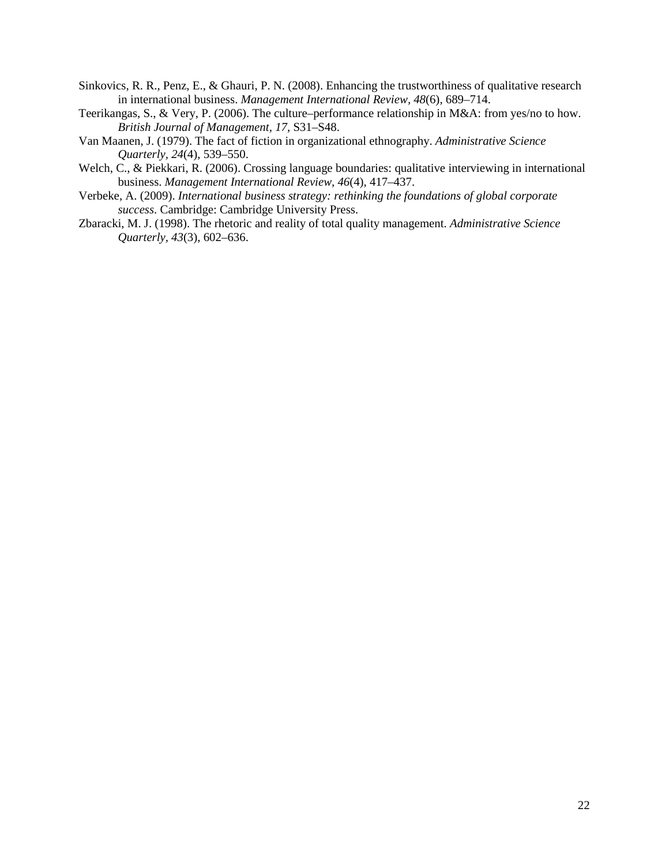- Sinkovics, R. R., Penz, E., & Ghauri, P. N. (2008). Enhancing the trustworthiness of qualitative research in international business. *Management International Review, 48*(6), 689–714.
- Teerikangas, S., & Very, P. (2006). The culture–performance relationship in M&A: from yes/no to how. *British Journal of Management, 17*, S31–S48.
- Van Maanen, J. (1979). The fact of fiction in organizational ethnography. *Administrative Science Quarterly, 24*(4), 539–550.
- Welch, C., & Piekkari, R. (2006). Crossing language boundaries: qualitative interviewing in international business. *Management International Review, 46*(4), 417–437.
- Verbeke, A. (2009). *International business strategy: rethinking the foundations of global corporate success*. Cambridge: Cambridge University Press.
- Zbaracki, M. J. (1998). The rhetoric and reality of total quality management. *Administrative Science Quarterly, 43*(3), 602–636.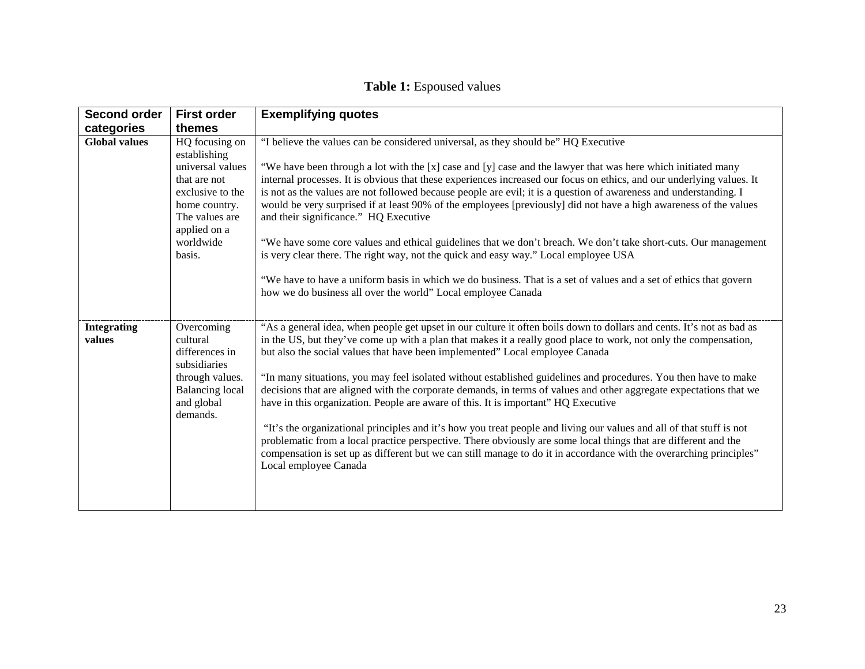## **Table 1:** Espoused values

| Second order                 | <b>First order</b>                                                                                                                                               | <b>Exemplifying quotes</b>                                                                                                                                                                                                                                                                                                                                                                                                                                                                                                                                                                                                                                                                                                                                                                                                                                                                                                                                                                                                                          |
|------------------------------|------------------------------------------------------------------------------------------------------------------------------------------------------------------|-----------------------------------------------------------------------------------------------------------------------------------------------------------------------------------------------------------------------------------------------------------------------------------------------------------------------------------------------------------------------------------------------------------------------------------------------------------------------------------------------------------------------------------------------------------------------------------------------------------------------------------------------------------------------------------------------------------------------------------------------------------------------------------------------------------------------------------------------------------------------------------------------------------------------------------------------------------------------------------------------------------------------------------------------------|
| categories                   | themes                                                                                                                                                           |                                                                                                                                                                                                                                                                                                                                                                                                                                                                                                                                                                                                                                                                                                                                                                                                                                                                                                                                                                                                                                                     |
| <b>Global values</b>         | HQ focusing on<br>establishing<br>universal values<br>that are not<br>exclusive to the<br>home country.<br>The values are<br>applied on a<br>worldwide<br>basis. | "I believe the values can be considered universal, as they should be" HQ Executive<br>"We have been through a lot with the [x] case and [y] case and the lawyer that was here which initiated many<br>internal processes. It is obvious that these experiences increased our focus on ethics, and our underlying values. It<br>is not as the values are not followed because people are evil; it is a question of awareness and understanding. I<br>would be very surprised if at least 90% of the employees [previously] did not have a high awareness of the values<br>and their significance." HQ Executive<br>"We have some core values and ethical guidelines that we don't breach. We don't take short-cuts. Our management<br>is very clear there. The right way, not the quick and easy way." Local employee USA<br>"We have to have a uniform basis in which we do business. That is a set of values and a set of ethics that govern<br>how we do business all over the world" Local employee Canada                                       |
| <b>Integrating</b><br>values | Overcoming<br>cultural<br>differences in<br>subsidiaries<br>through values.<br><b>Balancing</b> local<br>and global<br>demands.                                  | "As a general idea, when people get upset in our culture it often boils down to dollars and cents. It's not as bad as<br>in the US, but they've come up with a plan that makes it a really good place to work, not only the compensation,<br>but also the social values that have been implemented" Local employee Canada<br>"In many situations, you may feel isolated without established guidelines and procedures. You then have to make<br>decisions that are aligned with the corporate demands, in terms of values and other aggregate expectations that we<br>have in this organization. People are aware of this. It is important" HQ Executive<br>"It's the organizational principles and it's how you treat people and living our values and all of that stuff is not<br>problematic from a local practice perspective. There obviously are some local things that are different and the<br>compensation is set up as different but we can still manage to do it in accordance with the overarching principles"<br>Local employee Canada |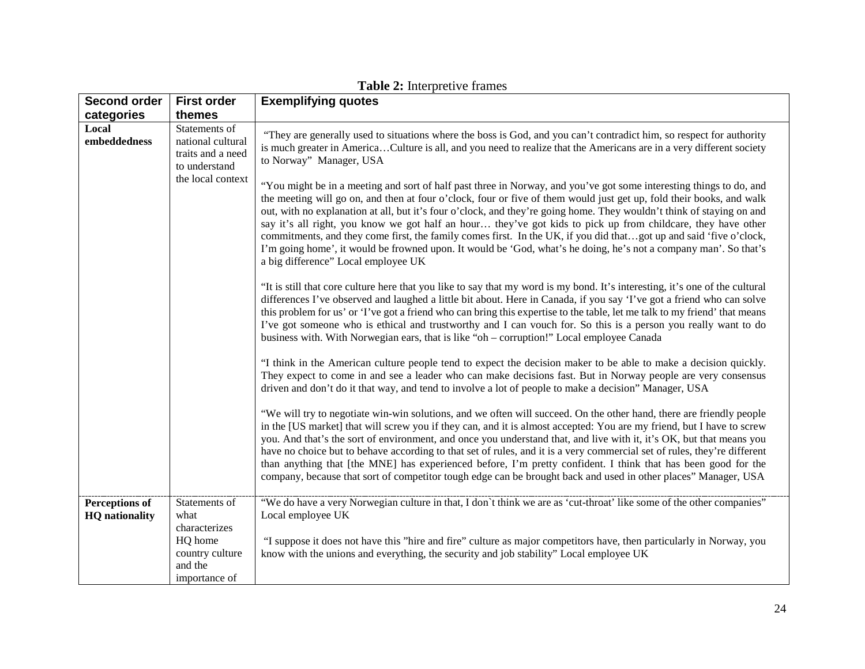| <b>Second order</b>   | <b>First order</b>                                                                            | <b>Exemplifying quotes</b>                                                                                                                                                                                                                                                                                                                                                                                                                                                                                                                                                                                                                                                                                                           |
|-----------------------|-----------------------------------------------------------------------------------------------|--------------------------------------------------------------------------------------------------------------------------------------------------------------------------------------------------------------------------------------------------------------------------------------------------------------------------------------------------------------------------------------------------------------------------------------------------------------------------------------------------------------------------------------------------------------------------------------------------------------------------------------------------------------------------------------------------------------------------------------|
| categories            | themes                                                                                        |                                                                                                                                                                                                                                                                                                                                                                                                                                                                                                                                                                                                                                                                                                                                      |
| Local<br>embeddedness | Statements of<br>national cultural<br>traits and a need<br>to understand<br>the local context | "They are generally used to situations where the boss is God, and you can't contradict him, so respect for authority<br>is much greater in AmericaCulture is all, and you need to realize that the Americans are in a very different society<br>to Norway" Manager, USA<br>"You might be in a meeting and sort of half past three in Norway, and you've got some interesting things to do, and<br>the meeting will go on, and then at four o'clock, four or five of them would just get up, fold their books, and walk                                                                                                                                                                                                               |
|                       |                                                                                               | out, with no explanation at all, but it's four o'clock, and they're going home. They wouldn't think of staying on and<br>say it's all right, you know we got half an hour they've got kids to pick up from childcare, they have other<br>commitments, and they come first, the family comes first. In the UK, if you did thatgot up and said 'five o'clock,<br>I'm going home', it would be frowned upon. It would be 'God, what's he doing, he's not a company man'. So that's<br>a big difference" Local employee UK                                                                                                                                                                                                               |
|                       |                                                                                               | "It is still that core culture here that you like to say that my word is my bond. It's interesting, it's one of the cultural<br>differences I've observed and laughed a little bit about. Here in Canada, if you say 'I've got a friend who can solve<br>this problem for us' or 'I've got a friend who can bring this expertise to the table, let me talk to my friend' that means<br>I've got someone who is ethical and trustworthy and I can vouch for. So this is a person you really want to do<br>business with. With Norwegian ears, that is like "oh – corruption!" Local employee Canada                                                                                                                                   |
|                       |                                                                                               | "I think in the American culture people tend to expect the decision maker to be able to make a decision quickly.<br>They expect to come in and see a leader who can make decisions fast. But in Norway people are very consensus<br>driven and don't do it that way, and tend to involve a lot of people to make a decision" Manager, USA                                                                                                                                                                                                                                                                                                                                                                                            |
|                       |                                                                                               | "We will try to negotiate win-win solutions, and we often will succeed. On the other hand, there are friendly people<br>in the [US market] that will screw you if they can, and it is almost accepted: You are my friend, but I have to screw<br>you. And that's the sort of environment, and once you understand that, and live with it, it's OK, but that means you<br>have no choice but to behave according to that set of rules, and it is a very commercial set of rules, they're different<br>than anything that [the MNE] has experienced before, I'm pretty confident. I think that has been good for the<br>company, because that sort of competitor tough edge can be brought back and used in other places" Manager, USA |
| <b>Perceptions of</b> | Statements of                                                                                 | "We do have a very Norwegian culture in that, I don't think we are as 'cut-throat' like some of the other companies"                                                                                                                                                                                                                                                                                                                                                                                                                                                                                                                                                                                                                 |
| <b>HQ</b> nationality | what                                                                                          | Local employee UK                                                                                                                                                                                                                                                                                                                                                                                                                                                                                                                                                                                                                                                                                                                    |
|                       | characterizes                                                                                 |                                                                                                                                                                                                                                                                                                                                                                                                                                                                                                                                                                                                                                                                                                                                      |
|                       | HQ home                                                                                       | "I suppose it does not have this "hire and fire" culture as major competitors have, then particularly in Norway, you                                                                                                                                                                                                                                                                                                                                                                                                                                                                                                                                                                                                                 |
|                       | country culture<br>and the                                                                    | know with the unions and everything, the security and job stability" Local employee UK                                                                                                                                                                                                                                                                                                                                                                                                                                                                                                                                                                                                                                               |
|                       | importance of                                                                                 |                                                                                                                                                                                                                                                                                                                                                                                                                                                                                                                                                                                                                                                                                                                                      |

**Table 2:** Interpretive frames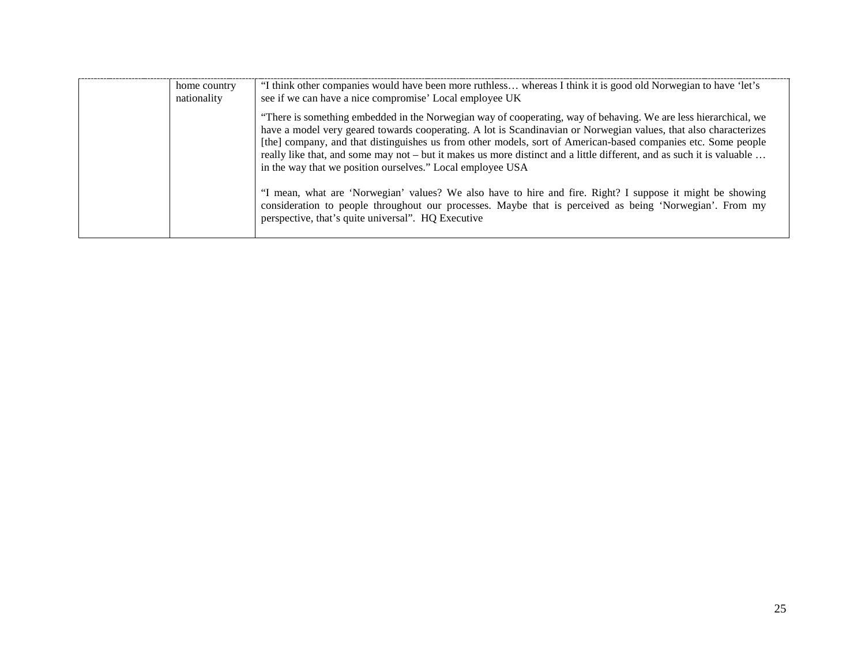| home country<br>nationality | "I think other companies would have been more ruthless whereas I think it is good old Norwegian to have 'let's<br>see if we can have a nice compromise' Local employee UK                                                                                                                                                                                                                                                                                                                                                                   |
|-----------------------------|---------------------------------------------------------------------------------------------------------------------------------------------------------------------------------------------------------------------------------------------------------------------------------------------------------------------------------------------------------------------------------------------------------------------------------------------------------------------------------------------------------------------------------------------|
|                             | "There is something embedded in the Norwegian way of cooperating, way of behaving. We are less hierarchical, we<br>have a model very geared towards cooperating. A lot is Scandinavian or Norwegian values, that also characterizes<br>[the] company, and that distinguishes us from other models, sort of American-based companies etc. Some people<br>really like that, and some may not – but it makes us more distinct and a little different, and as such it is valuable<br>in the way that we position ourselves." Local employee USA |
|                             | "I mean, what are 'Norwegian' values? We also have to hire and fire. Right? I suppose it might be showing<br>consideration to people throughout our processes. Maybe that is perceived as being 'Norwegian'. From my<br>perspective, that's quite universal". HQ Executive                                                                                                                                                                                                                                                                  |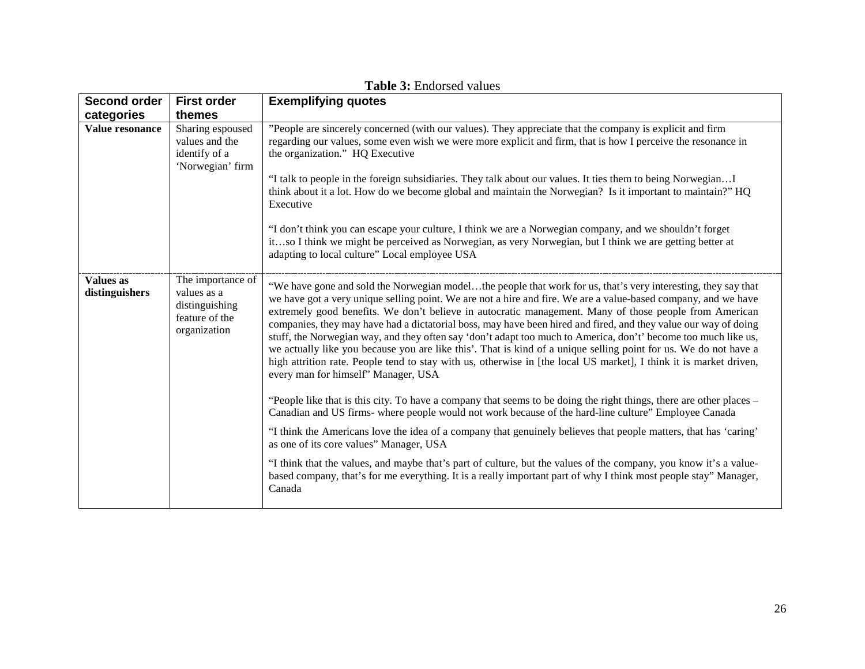| <b>Second order</b>                | <b>First order</b>                                                                   | <b>Exemplifying quotes</b>                                                                                                                                                                                                                                                                                                                                                                                                                                                                                                                                                                                                                                                                                                                                                                                                                                      |
|------------------------------------|--------------------------------------------------------------------------------------|-----------------------------------------------------------------------------------------------------------------------------------------------------------------------------------------------------------------------------------------------------------------------------------------------------------------------------------------------------------------------------------------------------------------------------------------------------------------------------------------------------------------------------------------------------------------------------------------------------------------------------------------------------------------------------------------------------------------------------------------------------------------------------------------------------------------------------------------------------------------|
| categories                         | themes                                                                               |                                                                                                                                                                                                                                                                                                                                                                                                                                                                                                                                                                                                                                                                                                                                                                                                                                                                 |
| Value resonance                    | Sharing espoused<br>values and the<br>identify of a<br>'Norwegian' firm              | "People are sincerely concerned (with our values). They appreciate that the company is explicit and firm<br>regarding our values, some even wish we were more explicit and firm, that is how I perceive the resonance in<br>the organization." HQ Executive                                                                                                                                                                                                                                                                                                                                                                                                                                                                                                                                                                                                     |
|                                    |                                                                                      | "I talk to people in the foreign subsidiaries. They talk about our values. It ties them to being NorwegianI<br>think about it a lot. How do we become global and maintain the Norwegian? Is it important to maintain?" HQ<br>Executive                                                                                                                                                                                                                                                                                                                                                                                                                                                                                                                                                                                                                          |
|                                    |                                                                                      | "I don't think you can escape your culture, I think we are a Norwegian company, and we shouldn't forget<br>itso I think we might be perceived as Norwegian, as very Norwegian, but I think we are getting better at<br>adapting to local culture" Local employee USA                                                                                                                                                                                                                                                                                                                                                                                                                                                                                                                                                                                            |
| <b>Values</b> as<br>distinguishers | The importance of<br>values as a<br>distinguishing<br>feature of the<br>organization | "We have gone and sold the Norwegian modelthe people that work for us, that's very interesting, they say that<br>we have got a very unique selling point. We are not a hire and fire. We are a value-based company, and we have<br>extremely good benefits. We don't believe in autocratic management. Many of those people from American<br>companies, they may have had a dictatorial boss, may have been hired and fired, and they value our way of doing<br>stuff, the Norwegian way, and they often say 'don't adapt too much to America, don't' become too much like us,<br>we actually like you because you are like this'. That is kind of a unique selling point for us. We do not have a<br>high attrition rate. People tend to stay with us, otherwise in [the local US market], I think it is market driven,<br>every man for himself" Manager, USA |
|                                    |                                                                                      | "People like that is this city. To have a company that seems to be doing the right things, there are other places –<br>Canadian and US firms- where people would not work because of the hard-line culture" Employee Canada                                                                                                                                                                                                                                                                                                                                                                                                                                                                                                                                                                                                                                     |
|                                    |                                                                                      | "I think the Americans love the idea of a company that genuinely believes that people matters, that has 'caring'<br>as one of its core values" Manager, USA                                                                                                                                                                                                                                                                                                                                                                                                                                                                                                                                                                                                                                                                                                     |
|                                    |                                                                                      | "I think that the values, and maybe that's part of culture, but the values of the company, you know it's a value-<br>based company, that's for me everything. It is a really important part of why I think most people stay" Manager,<br>Canada                                                                                                                                                                                                                                                                                                                                                                                                                                                                                                                                                                                                                 |

**Table 3:** Endorsed values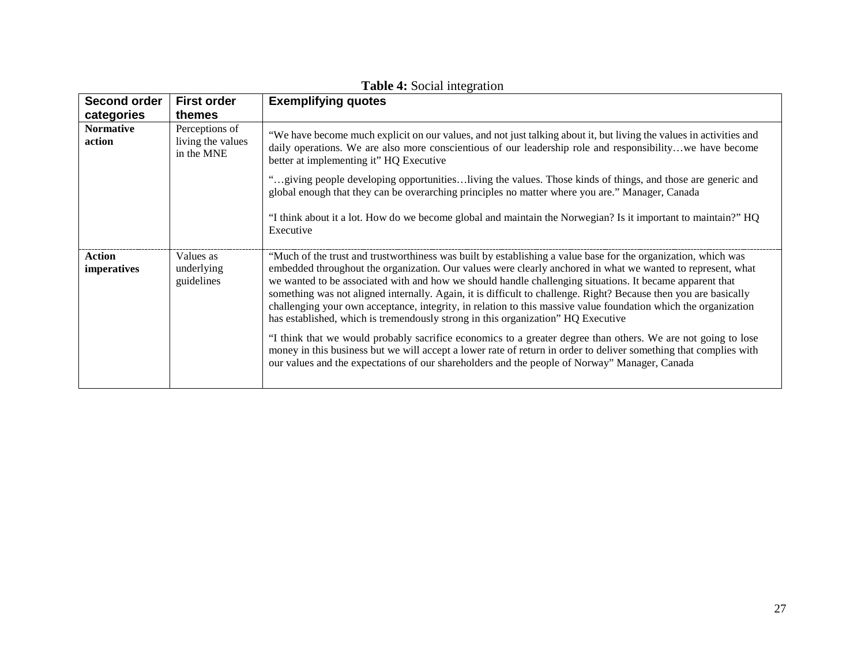| <b>Second order</b><br>categories | <b>First order</b><br>themes                      | <b>Exemplifying quotes</b>                                                                                                                                                                                                                                                                                                                                                                                                                                                                                                                                                                                                                                          |
|-----------------------------------|---------------------------------------------------|---------------------------------------------------------------------------------------------------------------------------------------------------------------------------------------------------------------------------------------------------------------------------------------------------------------------------------------------------------------------------------------------------------------------------------------------------------------------------------------------------------------------------------------------------------------------------------------------------------------------------------------------------------------------|
| <b>Normative</b><br>action        | Perceptions of<br>living the values<br>in the MNE | "We have become much explicit on our values, and not just talking about it, but living the values in activities and<br>daily operations. We are also more conscientious of our leadership role and responsibilitywe have become<br>better at implementing it" HQ Executive                                                                                                                                                                                                                                                                                                                                                                                          |
|                                   |                                                   | "giving people developing opportunitiesliving the values. Those kinds of things, and those are generic and<br>global enough that they can be overarching principles no matter where you are." Manager, Canada                                                                                                                                                                                                                                                                                                                                                                                                                                                       |
|                                   |                                                   | "I think about it a lot. How do we become global and maintain the Norwegian? Is it important to maintain?" HQ<br>Executive                                                                                                                                                                                                                                                                                                                                                                                                                                                                                                                                          |
| <b>Action</b><br>imperatives      | Values as<br>underlying<br>guidelines             | "Much of the trust and trustworthiness was built by establishing a value base for the organization, which was<br>embedded throughout the organization. Our values were clearly anchored in what we wanted to represent, what<br>we wanted to be associated with and how we should handle challenging situations. It became apparent that<br>something was not aligned internally. Again, it is difficult to challenge. Right? Because then you are basically<br>challenging your own acceptance, integrity, in relation to this massive value foundation which the organization<br>has established, which is tremendously strong in this organization" HQ Executive |
|                                   |                                                   | "I think that we would probably sacrifice economics to a greater degree than others. We are not going to lose<br>money in this business but we will accept a lower rate of return in order to deliver something that complies with<br>our values and the expectations of our shareholders and the people of Norway" Manager, Canada                                                                                                                                                                                                                                                                                                                                 |

**Table 4:** Social integration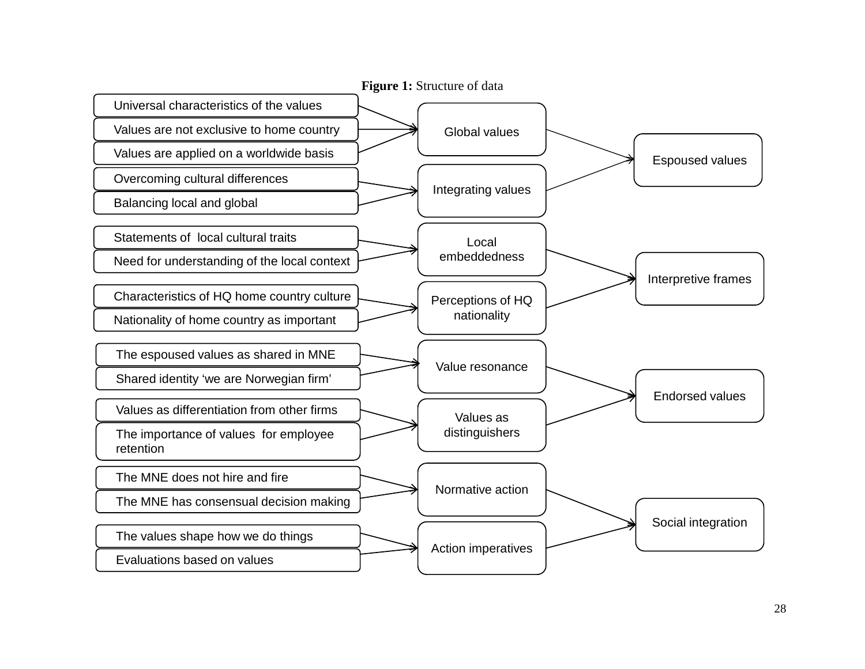